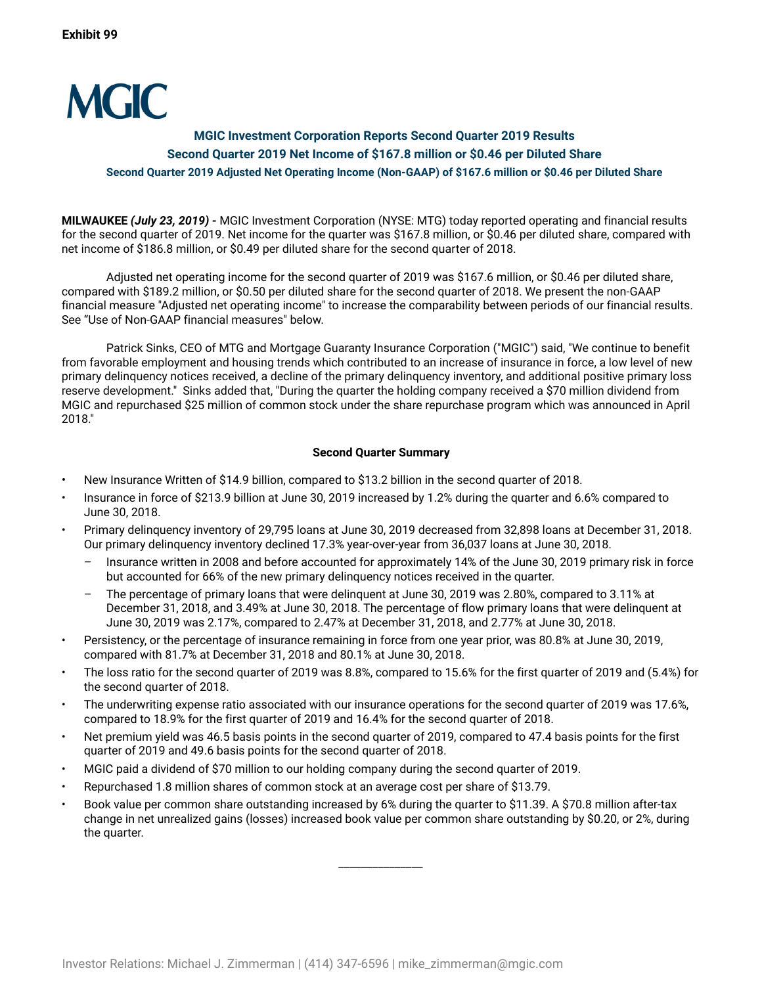

# **MGIC Investment Corporation Reports Second Quarter 2019 Results Second Quarter 2019 Net Income of \$167.8 million or \$0.46 per Diluted Share Second Quarter 2019 Adjusted Net Operating Income (Non-GAAP) of \$167.6 million or \$0.46 per Diluted Share**

**MILWAUKEE** *(July 23, 2019) -* MGIC Investment Corporation (NYSE: MTG) today reported operating and financial results for the second quarter of 2019. Net income for the quarter was \$167.8 million, or \$0.46 per diluted share, compared with net income of \$186.8 million, or \$0.49 per diluted share for the second quarter of 2018.

Adjusted net operating income for the second quarter of 2019 was \$167.6 million, or \$0.46 per diluted share, compared with \$189.2 million, or \$0.50 per diluted share for the second quarter of 2018. We present the non-GAAP financial measure "Adjusted net operating income" to increase the comparability between periods of our financial results. See "Use of Non-GAAP financial measures" below.

Patrick Sinks, CEO of MTG and Mortgage Guaranty Insurance Corporation ("MGIC") said, "We continue to benefit from favorable employment and housing trends which contributed to an increase of insurance in force, a low level of new primary delinquency notices received, a decline of the primary delinquency inventory, and additional positive primary loss reserve development." Sinks added that, "During the quarter the holding company received a \$70 million dividend from MGIC and repurchased \$25 million of common stock under the share repurchase program which was announced in April 2018."

# **Second Quarter Summary**

- New Insurance Written of \$14.9 billion, compared to \$13.2 billion in the second quarter of 2018.
- Insurance in force of \$213.9 billion at June 30, 2019 increased by 1.2% during the quarter and 6.6% compared to June 30, 2018.
- Primary delinquency inventory of 29,795 loans at June 30, 2019 decreased from 32,898 loans at December 31, 2018. Our primary delinquency inventory declined 17.3% year-over-year from 36,037 loans at June 30, 2018.
	- Insurance written in 2008 and before accounted for approximately 14% of the June 30, 2019 primary risk in force but accounted for 66% of the new primary delinquency notices received in the quarter.
	- The percentage of primary loans that were delinquent at June 30, 2019 was 2.80%, compared to 3.11% at December 31, 2018, and 3.49% at June 30, 2018. The percentage of flow primary loans that were delinquent at June 30, 2019 was 2.17%, compared to 2.47% at December 31, 2018, and 2.77% at June 30, 2018.
- Persistency, or the percentage of insurance remaining in force from one year prior, was 80.8% at June 30, 2019, compared with 81.7% at December 31, 2018 and 80.1% at June 30, 2018.
- The loss ratio for the second quarter of 2019 was 8.8%, compared to 15.6% for the first quarter of 2019 and (5.4%) for the second quarter of 2018.
- The underwriting expense ratio associated with our insurance operations for the second quarter of 2019 was 17.6%, compared to 18.9% for the first quarter of 2019 and 16.4% for the second quarter of 2018.
- Net premium yield was 46.5 basis points in the second quarter of 2019, compared to 47.4 basis points for the first quarter of 2019 and 49.6 basis points for the second quarter of 2018.
- MGIC paid a dividend of \$70 million to our holding company during the second quarter of 2019.
- Repurchased 1.8 million shares of common stock at an average cost per share of \$13.79.
- Book value per common share outstanding increased by 6% during the quarter to \$11.39. A \$70.8 million after-tax change in net unrealized gains (losses) increased book value per common share outstanding by \$0.20, or 2%, during the quarter.

 $\overline{\phantom{a}}$   $\overline{\phantom{a}}$   $\overline{\phantom{a}}$   $\overline{\phantom{a}}$   $\overline{\phantom{a}}$   $\overline{\phantom{a}}$   $\overline{\phantom{a}}$   $\overline{\phantom{a}}$   $\overline{\phantom{a}}$   $\overline{\phantom{a}}$   $\overline{\phantom{a}}$   $\overline{\phantom{a}}$   $\overline{\phantom{a}}$   $\overline{\phantom{a}}$   $\overline{\phantom{a}}$   $\overline{\phantom{a}}$   $\overline{\phantom{a}}$   $\overline{\phantom{a}}$   $\overline{\$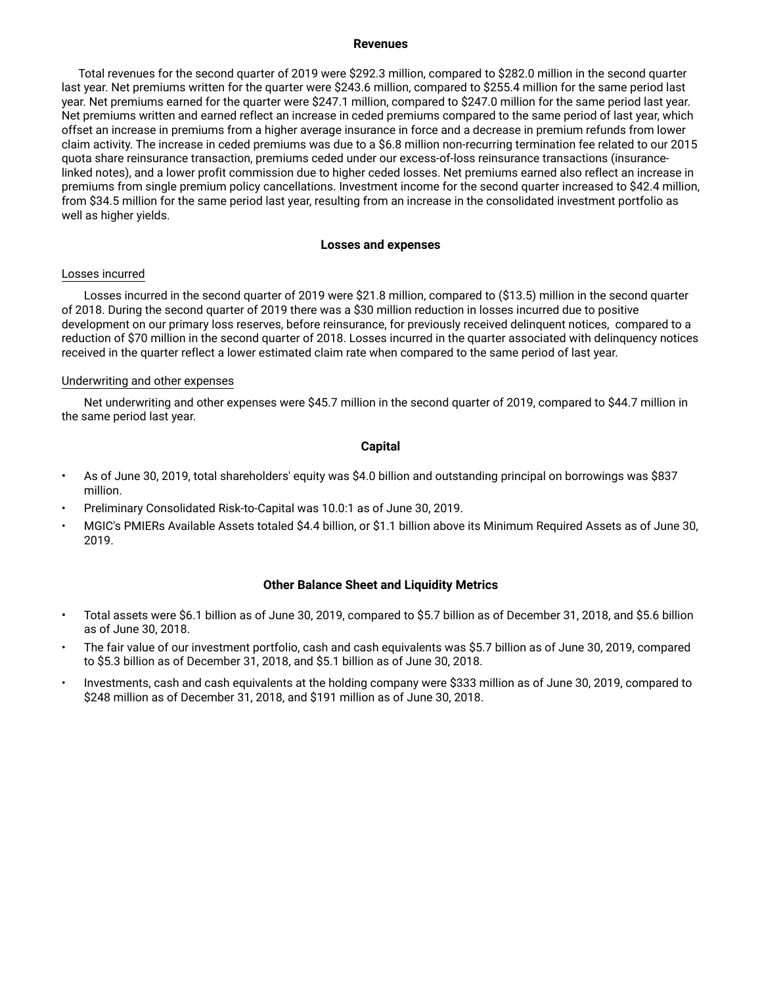### **Revenues**

Total revenues for the second quarter of 2019 were \$292.3 million, compared to \$282.0 million in the second quarter last year. Net premiums written for the quarter were \$243.6 million, compared to \$255.4 million for the same period last year. Net premiums earned for the quarter were \$247.1 million, compared to \$247.0 million for the same period last year. Net premiums written and earned reflect an increase in ceded premiums compared to the same period of last year, which offset an increase in premiums from a higher average insurance in force and a decrease in premium refunds from lower claim activity. The increase in ceded premiums was due to a \$6.8 million non-recurring termination fee related to our 2015 quota share reinsurance transaction, premiums ceded under our excess-of-loss reinsurance transactions (insurancelinked notes), and a lower profit commission due to higher ceded losses. Net premiums earned also reflect an increase in premiums from single premium policy cancellations. Investment income for the second quarter increased to \$42.4 million, from \$34.5 million for the same period last year, resulting from an increase in the consolidated investment portfolio as well as higher yields.

## **Losses and expenses**

### Losses incurred

Losses incurred in the second quarter of 2019 were \$21.8 million, compared to (\$13.5) million in the second quarter of 2018. During the second quarter of 2019 there was a \$30 million reduction in losses incurred due to positive development on our primary loss reserves, before reinsurance, for previously received delinquent notices, compared to a reduction of \$70 million in the second quarter of 2018. Losses incurred in the quarter associated with delinquency notices received in the quarter reflect a lower estimated claim rate when compared to the same period of last year.

### Underwriting and other expenses

Net underwriting and other expenses were \$45.7 million in the second quarter of 2019, compared to \$44.7 million in the same period last year.

### **Capital**

- As of June 30, 2019, total shareholders' equity was \$4.0 billion and outstanding principal on borrowings was \$837 million.
- Preliminary Consolidated Risk-to-Capital was 10.0:1 as of June 30, 2019.
- MGIC's PMIERs Available Assets totaled \$4.4 billion, or \$1.1 billion above its Minimum Required Assets as of June 30, 2019.

## **Other Balance Sheet and Liquidity Metrics**

- Total assets were \$6.1 billion as of June 30, 2019, compared to \$5.7 billion as of December 31, 2018, and \$5.6 billion as of June 30, 2018.
- The fair value of our investment portfolio, cash and cash equivalents was \$5.7 billion as of June 30, 2019, compared to \$5.3 billion as of December 31, 2018, and \$5.1 billion as of June 30, 2018.
- Investments, cash and cash equivalents at the holding company were \$333 million as of June 30, 2019, compared to \$248 million as of December 31, 2018, and \$191 million as of June 30, 2018.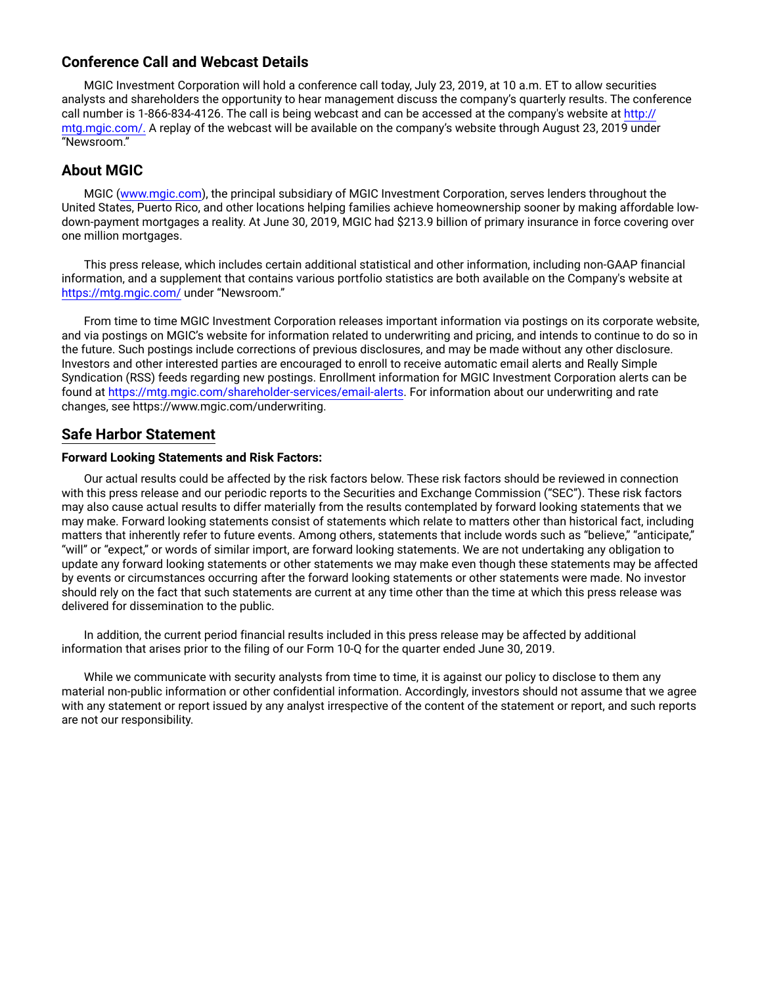# **Conference Call and Webcast Details**

MGIC Investment Corporation will hold a conference call today, July 23, 2019, at 10 a.m. ET to allow securities analysts and shareholders the opportunity to hear management discuss the company's quarterly results. The conference call number is 1-866-834-4126. The call is being webcast and can be accessed at the company's website at http:// mtg.mgic.com/. A replay of the webcast will be available on the company's website through August 23, 2019 under "Newsroom."

# **About MGIC**

MGIC (www.mgic.com), the principal subsidiary of MGIC Investment Corporation, serves lenders throughout the United States, Puerto Rico, and other locations helping families achieve homeownership sooner by making affordable lowdown-payment mortgages a reality. At June 30, 2019, MGIC had \$213.9 billion of primary insurance in force covering over one million mortgages.

This press release, which includes certain additional statistical and other information, including non-GAAP financial information, and a supplement that contains various portfolio statistics are both available on the Company's website at https://mtg.mgic.com/ under "Newsroom."

From time to time MGIC Investment Corporation releases important information via postings on its corporate website, and via postings on MGIC's website for information related to underwriting and pricing, and intends to continue to do so in the future. Such postings include corrections of previous disclosures, and may be made without any other disclosure. Investors and other interested parties are encouraged to enroll to receive automatic email alerts and Really Simple Syndication (RSS) feeds regarding new postings. Enrollment information for MGIC Investment Corporation alerts can be found at https://mtg.mgic.com/shareholder-services/email-alerts. For information about our underwriting and rate changes, see https://www.mgic.com/underwriting.

# **Safe Harbor Statement**

# **Forward Looking Statements and Risk Factors:**

Our actual results could be affected by the risk factors below. These risk factors should be reviewed in connection with this press release and our periodic reports to the Securities and Exchange Commission ("SEC"). These risk factors may also cause actual results to differ materially from the results contemplated by forward looking statements that we may make. Forward looking statements consist of statements which relate to matters other than historical fact, including matters that inherently refer to future events. Among others, statements that include words such as "believe," "anticipate," "will" or "expect," or words of similar import, are forward looking statements. We are not undertaking any obligation to update any forward looking statements or other statements we may make even though these statements may be affected by events or circumstances occurring after the forward looking statements or other statements were made. No investor should rely on the fact that such statements are current at any time other than the time at which this press release was delivered for dissemination to the public.

In addition, the current period financial results included in this press release may be affected by additional information that arises prior to the filing of our Form 10-Q for the quarter ended June 30, 2019.

While we communicate with security analysts from time to time, it is against our policy to disclose to them any material non-public information or other confidential information. Accordingly, investors should not assume that we agree with any statement or report issued by any analyst irrespective of the content of the statement or report, and such reports are not our responsibility.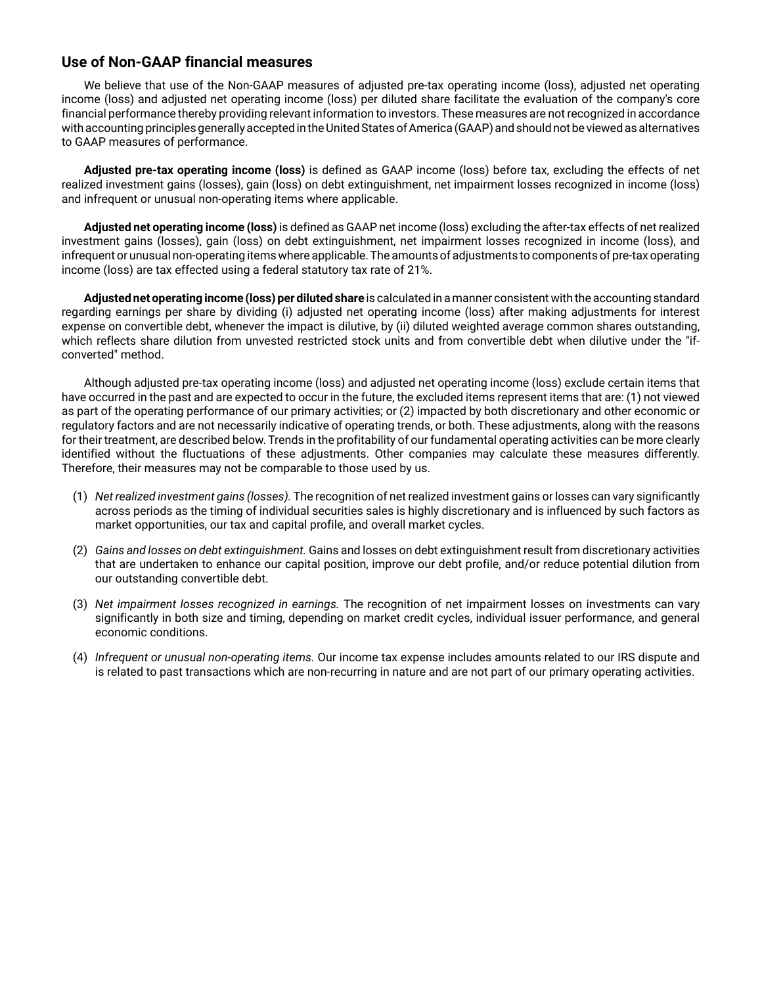# **Use of Non-GAAP financial measures**

We believe that use of the Non-GAAP measures of adjusted pre-tax operating income (loss), adjusted net operating income (loss) and adjusted net operating income (loss) per diluted share facilitate the evaluation of the company's core financial performance thereby providing relevant information to investors. These measures are not recognized in accordance with accounting principles generally accepted in the United States of America (GAAP) and should not be viewed as alternatives to GAAP measures of performance.

**Adjusted pre-tax operating income (loss)** is defined as GAAP income (loss) before tax, excluding the effects of net realized investment gains (losses), gain (loss) on debt extinguishment, net impairment losses recognized in income (loss) and infrequent or unusual non-operating items where applicable.

**Adjusted net operating income (loss)** is defined as GAAP net income (loss) excluding the after-tax effects of net realized investment gains (losses), gain (loss) on debt extinguishment, net impairment losses recognized in income (loss), and infrequent or unusual non-operating items where applicable. The amounts of adjustments to components of pre-tax operating income (loss) are tax effected using a federal statutory tax rate of 21%.

**Adjusted net operating income (loss) per diluted share** is calculated in a manner consistent with the accounting standard regarding earnings per share by dividing (i) adjusted net operating income (loss) after making adjustments for interest expense on convertible debt, whenever the impact is dilutive, by (ii) diluted weighted average common shares outstanding, which reflects share dilution from unvested restricted stock units and from convertible debt when dilutive under the "ifconverted" method.

Although adjusted pre-tax operating income (loss) and adjusted net operating income (loss) exclude certain items that have occurred in the past and are expected to occur in the future, the excluded items represent items that are: (1) not viewed as part of the operating performance of our primary activities; or (2) impacted by both discretionary and other economic or regulatory factors and are not necessarily indicative of operating trends, or both. These adjustments, along with the reasons for their treatment, are described below. Trends in the profitability of our fundamental operating activities can be more clearly identified without the fluctuations of these adjustments. Other companies may calculate these measures differently. Therefore, their measures may not be comparable to those used by us.

- (1) *Net realized investment gains (losses).* The recognition of net realized investment gains or losses can vary significantly across periods as the timing of individual securities sales is highly discretionary and is influenced by such factors as market opportunities, our tax and capital profile, and overall market cycles.
- (2) *Gains and losses on debt extinguishment.* Gains and losses on debt extinguishment result from discretionary activities that are undertaken to enhance our capital position, improve our debt profile, and/or reduce potential dilution from our outstanding convertible debt.
- (3) *Net impairment losses recognized in earnings.* The recognition of net impairment losses on investments can vary significantly in both size and timing, depending on market credit cycles, individual issuer performance, and general economic conditions.
- (4) *Infrequent or unusual non-operating items.* Our income tax expense includes amounts related to our IRS dispute and is related to past transactions which are non-recurring in nature and are not part of our primary operating activities.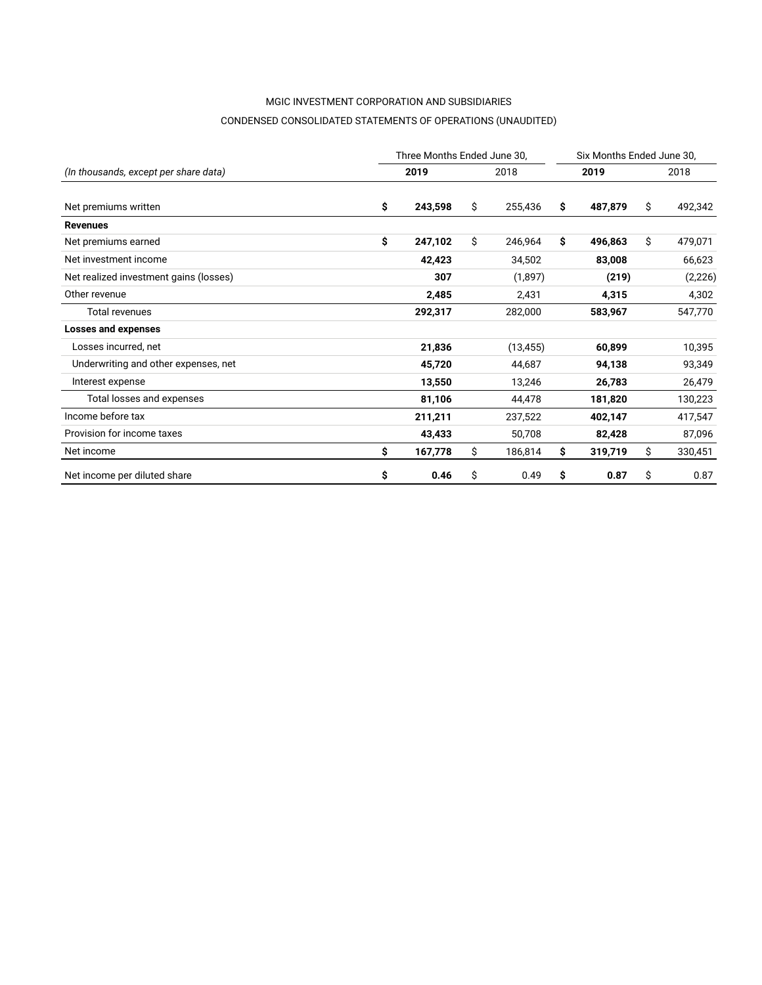# MGIC INVESTMENT CORPORATION AND SUBSIDIARIES CONDENSED CONSOLIDATED STATEMENTS OF OPERATIONS (UNAUDITED)

|                                        |    | Three Months Ended June 30, |               |     |         | Six Months Ended June 30, |          |
|----------------------------------------|----|-----------------------------|---------------|-----|---------|---------------------------|----------|
| (In thousands, except per share data)  |    | 2019                        | 2018          |     | 2019    |                           | 2018     |
| Net premiums written                   | \$ | 243,598                     | \$<br>255,436 | S.  | 487,879 | \$                        | 492,342  |
| <b>Revenues</b>                        |    |                             |               |     |         |                           |          |
| Net premiums earned                    | \$ | 247,102                     | \$<br>246,964 | \$  | 496,863 | \$                        | 479,071  |
| Net investment income                  |    | 42,423                      | 34,502        |     | 83,008  |                           | 66,623   |
| Net realized investment gains (losses) |    | 307                         | (1,897)       |     | (219)   |                           | (2, 226) |
| Other revenue                          |    | 2,485                       | 2,431         |     | 4,315   |                           | 4,302    |
| <b>Total revenues</b>                  |    | 292,317                     | 282,000       |     | 583,967 |                           | 547,770  |
| Losses and expenses                    |    |                             |               |     |         |                           |          |
| Losses incurred, net                   |    | 21,836                      | (13, 455)     |     | 60,899  |                           | 10,395   |
| Underwriting and other expenses, net   |    | 45,720                      | 44,687        |     | 94,138  |                           | 93,349   |
| Interest expense                       |    | 13,550                      | 13,246        |     | 26,783  |                           | 26,479   |
| Total losses and expenses              |    | 81,106                      | 44,478        |     | 181,820 |                           | 130,223  |
| Income before tax                      |    | 211,211                     | 237,522       |     | 402,147 |                           | 417,547  |
| Provision for income taxes             |    | 43,433                      | 50,708        |     | 82,428  |                           | 87,096   |
| Net income                             | Ŝ  | 167,778                     | \$<br>186,814 | \$. | 319,719 | \$                        | 330,451  |
| Net income per diluted share           | \$ | 0.46                        | \$<br>0.49    | \$  | 0.87    | \$                        | 0.87     |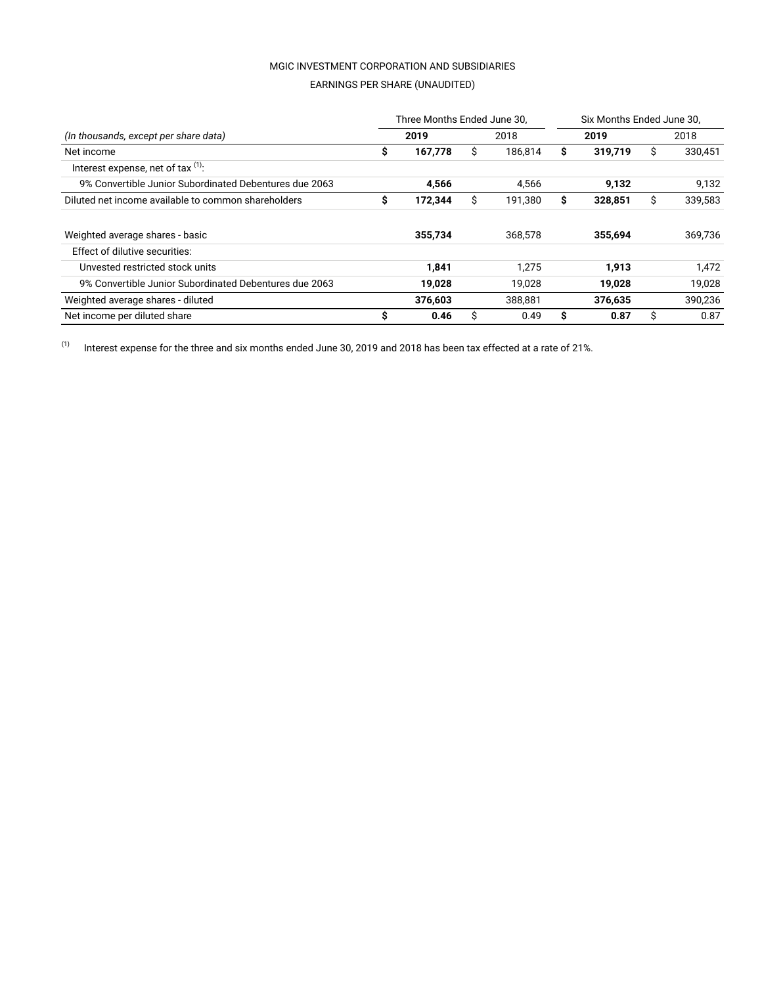# MGIC INVESTMENT CORPORATION AND SUBSIDIARIES EARNINGS PER SHARE (UNAUDITED)

|                                                        |    | Three Months Ended June 30, |   |         |    | Six Months Ended June 30. |      |         |
|--------------------------------------------------------|----|-----------------------------|---|---------|----|---------------------------|------|---------|
| (In thousands, except per share data)                  |    | 2019                        |   | 2018    |    | 2019                      | 2018 |         |
| Net income                                             | \$ | 167,778                     | Ŝ | 186.814 | s  | 319,719                   | S    | 330,451 |
| Interest expense, net of tax $(1)$ :                   |    |                             |   |         |    |                           |      |         |
| 9% Convertible Junior Subordinated Debentures due 2063 |    | 4.566                       |   | 4.566   |    | 9.132                     |      | 9,132   |
| Diluted net income available to common shareholders    | \$ | 172,344                     | Ŝ | 191.380 | \$ | 328.851                   | Ŝ.   | 339.583 |
| Weighted average shares - basic                        |    | 355,734                     |   | 368,578 |    | 355,694                   |      | 369,736 |
| Effect of dilutive securities:                         |    |                             |   |         |    |                           |      |         |
| Unvested restricted stock units                        |    | 1,841                       |   | 1.275   |    | 1,913                     |      | 1,472   |
| 9% Convertible Junior Subordinated Debentures due 2063 |    | 19,028                      |   | 19.028  |    | 19.028                    |      | 19.028  |
| Weighted average shares - diluted                      |    | 376,603                     |   | 388,881 |    | 376,635                   |      | 390,236 |
| Net income per diluted share                           | s  | 0.46                        | Ŝ | 0.49    | s  | 0.87                      | S    | 0.87    |

 $(1)$  Interest expense for the three and six months ended June 30, 2019 and 2018 has been tax effected at a rate of 21%.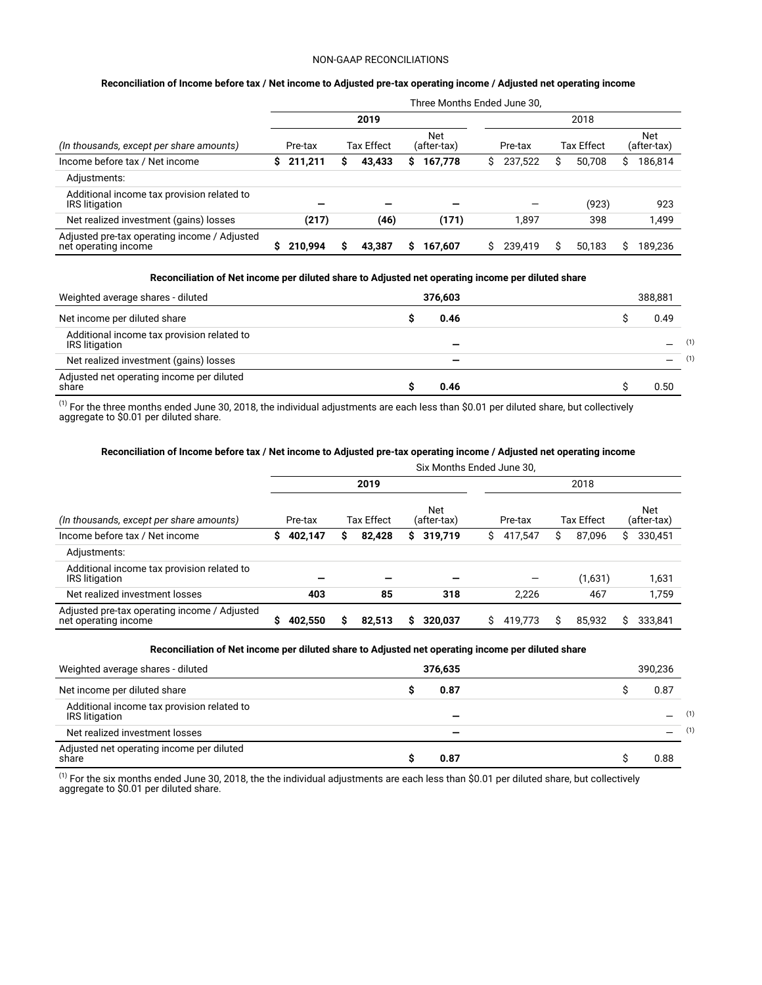#### NON-GAAP RECONCILIATIONS

#### **Reconciliation of Income before tax / Net income to Adjusted pre-tax operating income / Adjusted net operating income**

|                                                                      |   |         |   |            |   | Three Months Ended June 30, |    |         |   |            |   |                    |  |
|----------------------------------------------------------------------|---|---------|---|------------|---|-----------------------------|----|---------|---|------------|---|--------------------|--|
|                                                                      |   |         |   | 2019       |   |                             |    |         |   | 2018       |   |                    |  |
| (In thousands, except per share amounts)                             |   | Pre-tax |   | Tax Effect |   | <b>Net</b><br>(after-tax)   |    | Pre-tax |   | Tax Effect |   | Net<br>(after-tax) |  |
| Income before tax / Net income                                       | s | 211,211 | s | 43,433     | s | 167,778                     | S. | 237.522 | S | 50.708     | S | 186,814            |  |
| Adjustments:                                                         |   |         |   |            |   |                             |    |         |   |            |   |                    |  |
| Additional income tax provision related to<br><b>IRS</b> litigation  |   |         |   |            |   |                             |    |         |   | (923)      |   | 923                |  |
| Net realized investment (gains) losses                               |   | (217)   |   | (46)       |   | (171)                       |    | 1.897   |   | 398        |   | 1,499              |  |
| Adjusted pre-tax operating income / Adjusted<br>net operating income |   | 210.994 | ς | 43.387     | ς | 167.607                     |    | 239.419 |   | 50.183     |   | 189.236            |  |

#### **Reconciliation of Net income per diluted share to Adjusted net operating income per diluted share**

| Weighted average shares - diluted                            | 376.603 | 388.881 |     |
|--------------------------------------------------------------|---------|---------|-----|
| Net income per diluted share                                 | 0.46    | 0.49    |     |
| Additional income tax provision related to<br>IRS litigation |         |         | (1) |
| Net realized investment (gains) losses                       |         |         | (1) |
| Adjusted net operating income per diluted<br>share           | 0.46    | 0.50    |     |

 $^{(1)}$  For the three months ended June 30, 2018, the individual adjustments are each less than \$0.01 per diluted share, but collectively aggregate to \$0.01 per diluted share.

# **Reconciliation of Income before tax / Net income to Adjusted pre-tax operating income / Adjusted net operating income**

|                                                                      |   |         |   |                   |    | Six Months Ended June 30, |         |         |            |         |    |                           |
|----------------------------------------------------------------------|---|---------|---|-------------------|----|---------------------------|---------|---------|------------|---------|----|---------------------------|
|                                                                      |   |         |   | 2019              |    |                           |         |         |            | 2018    |    |                           |
| (In thousands, except per share amounts)                             |   | Pre-tax |   | <b>Tax Effect</b> |    | Net<br>(after-tax)        | Pre-tax |         | Tax Effect |         |    | <b>Net</b><br>(after-tax) |
| Income before tax / Net income                                       | S | 402,147 | S | 82,428            | S. | 319,719                   | S.      | 417.547 | S          | 87,096  | S  | 330,451                   |
| Adjustments:                                                         |   |         |   |                   |    |                           |         |         |            |         |    |                           |
| Additional income tax provision related to<br><b>IRS</b> litigation  |   |         |   |                   |    |                           |         |         |            | (1,631) |    | 1,631                     |
| Net realized investment losses                                       |   | 403     |   | 85                |    | 318                       |         | 2.226   |            | 467     |    | 1,759                     |
| Adjusted pre-tax operating income / Adjusted<br>net operating income | S | 402.550 | s | 82.513            | S  | 320.037                   | S       | 419.773 | S          | 85.932  | Ś. | 333.841                   |

#### **Reconciliation of Net income per diluted share to Adjusted net operating income per diluted share**

| Weighted average shares - diluted                                   | 376.635 | 390.236 |     |
|---------------------------------------------------------------------|---------|---------|-----|
| Net income per diluted share                                        | 0.87    | 0.87    |     |
| Additional income tax provision related to<br><b>IRS</b> litigation |         |         | (1) |
| Net realized investment losses                                      |         |         | (1) |
| Adjusted net operating income per diluted<br>share                  | 0.87    | 0.88    |     |

 $^{(1)}$  For the six months ended June 30, 2018, the the individual adjustments are each less than \$0.01 per diluted share, but collectively aggregate to \$0.01 per diluted share.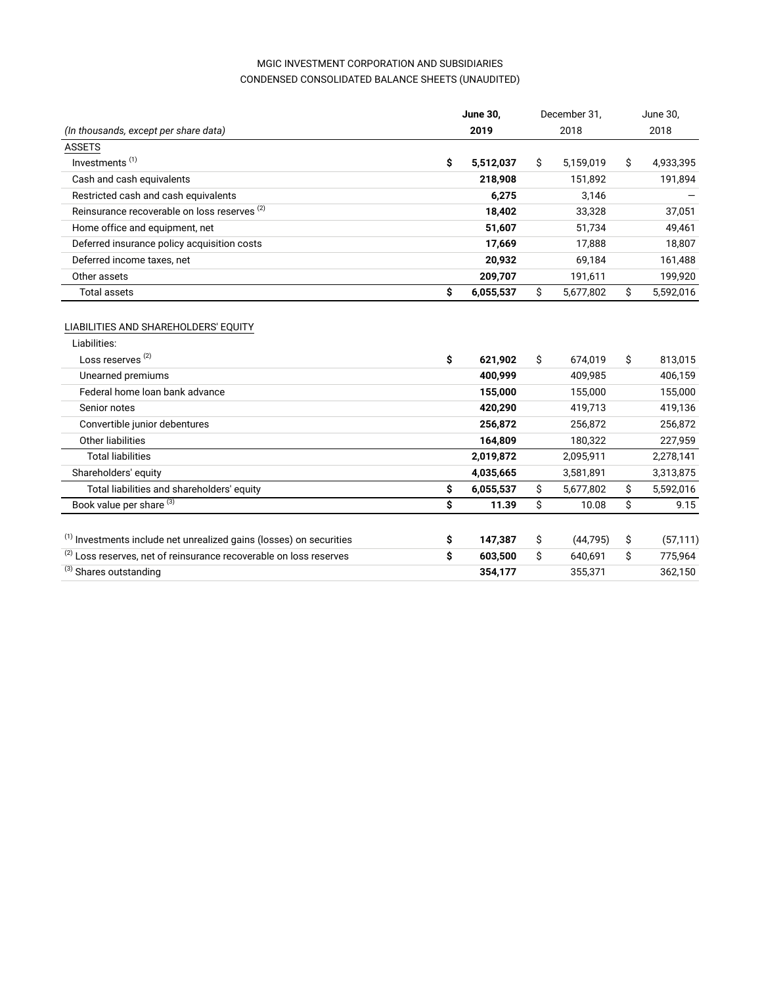# MGIC INVESTMENT CORPORATION AND SUBSIDIARIES CONDENSED CONSOLIDATED BALANCE SHEETS (UNAUDITED)

|                                                                                |    | <b>June 30.</b> | December 31,    | June 30,        |
|--------------------------------------------------------------------------------|----|-----------------|-----------------|-----------------|
| (In thousands, except per share data)                                          |    | 2019            | 2018            | 2018            |
| <b>ASSETS</b>                                                                  |    |                 |                 |                 |
| Investments <sup>(1)</sup>                                                     | \$ | 5,512,037       | \$<br>5,159,019 | \$<br>4,933,395 |
| Cash and cash equivalents                                                      |    | 218,908         | 151,892         | 191,894         |
| Restricted cash and cash equivalents                                           |    | 6,275           | 3,146           |                 |
| Reinsurance recoverable on loss reserves <sup>(2)</sup>                        |    | 18,402          | 33,328          | 37,051          |
| Home office and equipment, net                                                 |    | 51,607          | 51,734          | 49,461          |
| Deferred insurance policy acquisition costs                                    |    | 17,669          | 17,888          | 18,807          |
| Deferred income taxes, net                                                     |    | 20,932          | 69,184          | 161,488         |
| Other assets                                                                   |    | 209,707         | 191,611         | 199,920         |
| <b>Total assets</b>                                                            | \$ | 6,055,537       | \$<br>5,677,802 | \$<br>5,592,016 |
| Liabilities:<br>Loss reserves <sup>(2)</sup>                                   | \$ | 621,902         | \$<br>674,019   | \$<br>813,015   |
| Unearned premiums                                                              |    | 400,999         | 409,985         | 406,159         |
| Federal home loan bank advance                                                 |    | 155,000         | 155,000         | 155,000         |
| Senior notes                                                                   |    | 420,290         | 419,713         | 419,136         |
| Convertible junior debentures                                                  |    | 256,872         | 256,872         | 256,872         |
| Other liabilities                                                              |    | 164,809         | 180,322         | 227,959         |
| <b>Total liabilities</b>                                                       |    | 2,019,872       | 2,095,911       | 2,278,141       |
| Shareholders' equity                                                           |    | 4,035,665       | 3,581,891       | 3,313,875       |
| Total liabilities and shareholders' equity                                     | \$ | 6,055,537       | \$<br>5,677,802 | \$<br>5,592,016 |
| Book value per share <sup>(3)</sup>                                            | Ś  | 11.39           | \$<br>10.08     | \$<br>9.15      |
|                                                                                |    |                 |                 |                 |
| <sup>(1)</sup> Investments include net unrealized gains (losses) on securities | \$ | 147,387         | \$<br>(44, 795) | \$<br>(57, 111) |
| (2) Loss reserves, net of reinsurance recoverable on loss reserves             | \$ | 603,500         | \$<br>640,691   | \$<br>775,964   |
| (3) Shares outstanding                                                         |    | 354,177         | 355,371         | 362,150         |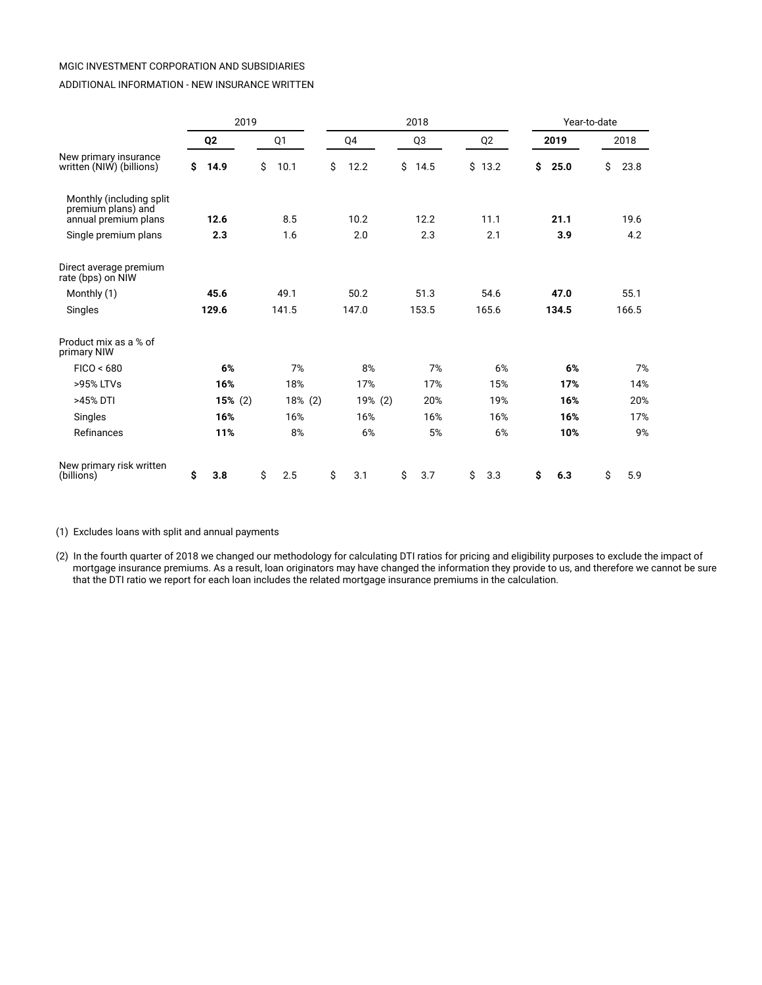#### ADDITIONAL INFORMATION - NEW INSURANCE WRITTEN

|                                                                         | 2019           |            | 2018 |    |         |    |                |    |                | Year-to-date |       |    |       |
|-------------------------------------------------------------------------|----------------|------------|------|----|---------|----|----------------|----|----------------|--------------|-------|----|-------|
|                                                                         | Q <sub>2</sub> | Q1         |      |    | Q4      |    | Q <sub>3</sub> |    | Q <sub>2</sub> |              | 2019  |    | 2018  |
| New primary insurance<br>written (NIW) (billions)                       | \$<br>14.9     | \$<br>10.1 |      | \$ | 12.2    | \$ | 14.5           | \$ | 13.2           | \$           | 25.0  | \$ | 23.8  |
| Monthly (including split)<br>premium plans) and<br>annual premium plans | 12.6           | 8.5        |      |    | 10.2    |    | 12.2           |    | 11.1           |              | 21.1  |    | 19.6  |
| Single premium plans                                                    | 2.3            | 1.6        |      |    | 2.0     |    | 2.3            |    | 2.1            |              | 3.9   |    | 4.2   |
| Direct average premium<br>rate (bps) on NIW                             |                |            |      |    |         |    |                |    |                |              |       |    |       |
| Monthly (1)                                                             | 45.6           | 49.1       |      |    | 50.2    |    | 51.3           |    | 54.6           |              | 47.0  |    | 55.1  |
| Singles                                                                 | 129.6          | 141.5      |      |    | 147.0   |    | 153.5          |    | 165.6          |              | 134.5 |    | 166.5 |
| Product mix as a % of<br>primary NIW                                    |                |            |      |    |         |    |                |    |                |              |       |    |       |
| FICO < 680                                                              | 6%             | 7%         |      |    | 8%      |    | 7%             |    | 6%             |              | 6%    |    | 7%    |
| >95% LTVs                                                               | 16%            | 18%        |      |    | 17%     |    | 17%            |    | 15%            |              | 17%   |    | 14%   |
| >45% DTI                                                                | 15% (2)        | 18% (2)    |      |    | 19% (2) |    | 20%            |    | 19%            |              | 16%   |    | 20%   |
| Singles                                                                 | 16%            | 16%        |      |    | 16%     |    | 16%            |    | 16%            |              | 16%   |    | 17%   |
| Refinances                                                              | 11%            | 8%         |      |    | 6%      |    | 5%             |    | 6%             |              | 10%   |    | 9%    |
| New primary risk written<br>(billions)                                  | \$<br>3.8      | \$<br>2.5  |      | \$ | 3.1     | \$ | 3.7            | \$ | 3.3            | \$           | 6.3   | \$ | 5.9   |

(1) Excludes loans with split and annual payments

(2) In the fourth quarter of 2018 we changed our methodology for calculating DTI ratios for pricing and eligibility purposes to exclude the impact of mortgage insurance premiums. As a result, loan originators may have changed the information they provide to us, and therefore we cannot be sure that the DTI ratio we report for each loan includes the related mortgage insurance premiums in the calculation.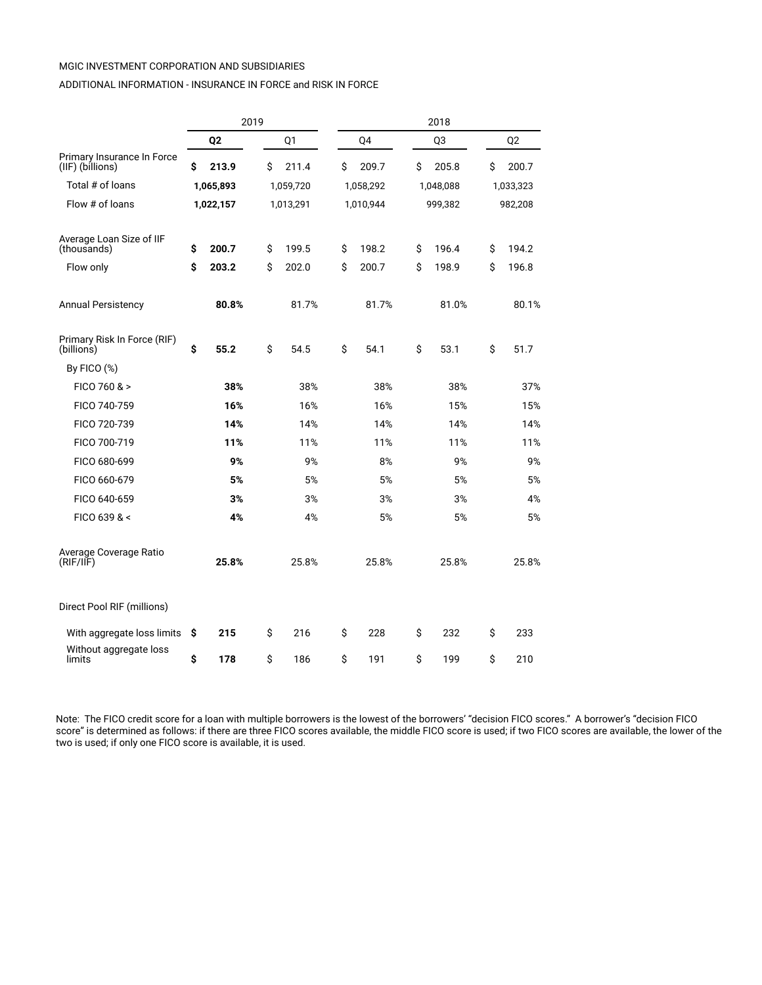#### ADDITIONAL INFORMATION - INSURANCE IN FORCE and RISK IN FORCE

|                                                | 2019           |    |           |    |           |    | 2018      |    |                |
|------------------------------------------------|----------------|----|-----------|----|-----------|----|-----------|----|----------------|
|                                                | Q <sub>2</sub> |    | Q1        |    | Q4        |    | Q3        |    | Q <sub>2</sub> |
| Primary Insurance In Force<br>(IIF) (billions) | \$<br>213.9    | Ś  | 211.4     | Ś  | 209.7     | Ś  | 205.8     | Ś  | 200.7          |
| Total # of loans                               | 1,065,893      |    | 1,059,720 |    | 1,058,292 |    | 1,048,088 |    | 1,033,323      |
| Flow # of loans                                | 1,022,157      |    | 1,013,291 |    | 1,010,944 |    | 999,382   |    | 982,208        |
| Average Loan Size of IIF<br>(thousands)        | \$<br>200.7    | \$ | 199.5     | \$ | 198.2     | \$ | 196.4     | \$ | 194.2          |
| Flow only                                      | \$<br>203.2    | Ś  | 202.0     | Ś  | 200.7     | Ś  | 198.9     | Ś  | 196.8          |
| <b>Annual Persistency</b>                      | 80.8%          |    | 81.7%     |    | 81.7%     |    | 81.0%     |    | 80.1%          |
| Primary Risk In Force (RIF)<br>(billions)      | \$<br>55.2     | \$ | 54.5      | \$ | 54.1      | \$ | 53.1      | \$ | 51.7           |
| By FICO $(\%)$                                 |                |    |           |    |           |    |           |    |                |
| FICO 760 & >                                   | 38%            |    | 38%       |    | 38%       |    | 38%       |    | 37%            |
| FICO 740-759                                   | 16%            |    | 16%       |    | 16%       |    | 15%       |    | 15%            |
| FICO 720-739                                   | 14%            |    | 14%       |    | 14%       |    | 14%       |    | 14%            |
| FICO 700-719                                   | 11%            |    | 11%       |    | 11%       |    | 11%       |    | 11%            |
| FICO 680-699                                   | 9%             |    | 9%        |    | 8%        |    | 9%        |    | 9%             |
| FICO 660-679                                   | 5%             |    | 5%        |    | 5%        |    | 5%        |    | 5%             |
| FICO 640-659                                   | 3%             |    | 3%        |    | 3%        |    | 3%        |    | 4%             |
| FICO 639 & <                                   | 4%             |    | 4%        |    | 5%        |    | 5%        |    | 5%             |
| Average Coverage Ratio<br>(RIF/IF)             | 25.8%          |    | 25.8%     |    | 25.8%     |    | 25.8%     |    | 25.8%          |
| Direct Pool RIF (millions)                     |                |    |           |    |           |    |           |    |                |
| With aggregate loss limits                     | \$<br>215      | \$ | 216       | \$ | 228       | \$ | 232       | \$ | 233            |
| Without aggregate loss<br>limits               | \$<br>178      | \$ | 186       | \$ | 191       | \$ | 199       | \$ | 210            |

Note: The FICO credit score for a loan with multiple borrowers is the lowest of the borrowers' "decision FICO scores." A borrower's "decision FICO score" is determined as follows: if there are three FICO scores available, the middle FICO score is used; if two FICO scores are available, the lower of the two is used; if only one FICO score is available, it is used.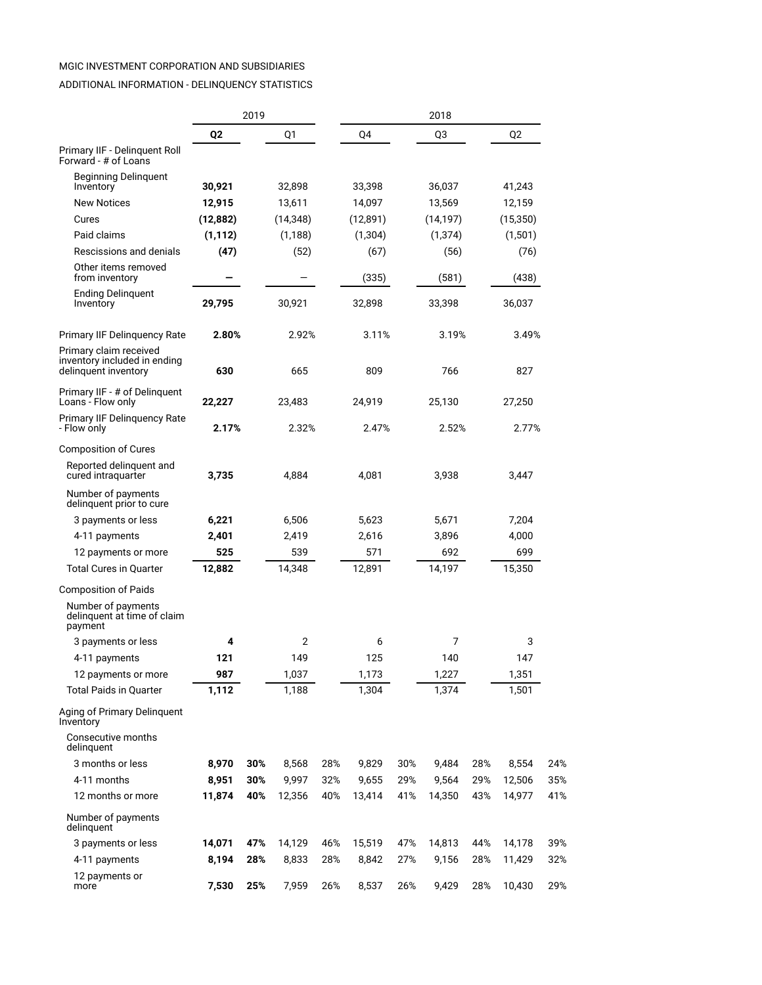## ADDITIONAL INFORMATION - DELINQUENCY STATISTICS

|                                                                                |           | 2019 |           |     |           |     | 2018           |     |          |     |
|--------------------------------------------------------------------------------|-----------|------|-----------|-----|-----------|-----|----------------|-----|----------|-----|
|                                                                                | Q2        |      | Q1        |     | Q4        |     | Q <sub>3</sub> |     | Q2       |     |
| Primary IIF - Delinguent Roll<br>Forward - # of Loans                          |           |      |           |     |           |     |                |     |          |     |
| Beginning Delinguent<br>Inventory                                              | 30,921    |      | 32,898    |     | 33,398    |     | 36,037         |     | 41,243   |     |
| <b>New Notices</b>                                                             | 12,915    |      | 13,611    |     | 14,097    |     | 13,569         |     | 12,159   |     |
| Cures                                                                          | (12, 882) |      | (14, 348) |     | (12, 891) |     | (14, 197)      |     | (15,350) |     |
| Paid claims                                                                    | (1, 112)  |      | (1, 188)  |     | (1, 304)  |     | (1, 374)       |     | (1,501)  |     |
| Rescissions and denials                                                        | (47)      |      | (52)      |     | (67)      |     | (56)           |     | (76)     |     |
| Other items removed<br>from inventory                                          |           |      |           |     | (335)     |     | (581)          |     | (438)    |     |
| <b>Ending Delinquent</b><br>Inventory                                          | 29,795    |      | 30,921    |     | 32,898    |     | 33,398         |     | 36,037   |     |
| Primary IIF Delinquency Rate                                                   | 2.80%     |      | 2.92%     |     | 3.11%     |     | 3.19%          |     | 3.49%    |     |
| Primary claim received<br>inventory included in ending<br>delinquent inventory | 630       |      | 665       |     | 809       |     | 766            |     | 827      |     |
| Primary IIF - # of Delinguent<br>Loans - Flow only                             | 22,227    |      | 23,483    |     | 24,919    |     | 25,130         |     | 27,250   |     |
| <b>Primary IIF Delinguency Rate</b><br>- Flow only                             | 2.17%     |      | 2.32%     |     | 2.47%     |     | 2.52%          |     | 2.77%    |     |
| <b>Composition of Cures</b>                                                    |           |      |           |     |           |     |                |     |          |     |
| Reported delinquent and<br>cured intraguarter                                  | 3,735     |      | 4,884     |     | 4,081     |     | 3,938          |     | 3,447    |     |
| Number of payments<br>delinquent prior to cure                                 |           |      |           |     |           |     |                |     |          |     |
| 3 payments or less                                                             | 6,221     |      | 6,506     |     | 5,623     |     | 5,671          |     | 7,204    |     |
| 4-11 payments                                                                  | 2,401     |      | 2,419     |     | 2,616     |     | 3,896          |     | 4,000    |     |
| 12 payments or more                                                            | 525       |      | 539       |     | 571       |     | 692            |     | 699      |     |
| <b>Total Cures in Quarter</b>                                                  | 12,882    |      | 14,348    |     | 12,891    |     | 14,197         |     | 15,350   |     |
| Composition of Paids                                                           |           |      |           |     |           |     |                |     |          |     |
| Number of payments<br>delinquent at time of claim<br>payment                   |           |      |           |     |           |     |                |     |          |     |
| 3 payments or less                                                             | 4         |      | 2         |     | 6         |     | 7              |     | 3        |     |
| 4-11 payments                                                                  | 121       |      | 149       |     | 125       |     | 140            |     | 147      |     |
| 12 payments or more                                                            | 987       |      | 1,037     |     | 1,173     |     | 1,227          |     | 1,351    |     |
| <b>Total Paids in Quarter</b>                                                  | 1,112     |      | 1,188     |     | 1,304     |     | 1,374          |     | 1,501    |     |
| Aging of Primary Delinguent<br>Inventory                                       |           |      |           |     |           |     |                |     |          |     |
| Consecutive months<br>delinquent                                               |           |      |           |     |           |     |                |     |          |     |
| 3 months or less                                                               | 8,970     | 30%  | 8,568     | 28% | 9,829     | 30% | 9,484          | 28% | 8,554    | 24% |
| 4-11 months                                                                    | 8,951     | 30%  | 9,997     | 32% | 9,655     | 29% | 9,564          | 29% | 12,506   | 35% |
| 12 months or more                                                              | 11,874    | 40%  | 12,356    | 40% | 13,414    | 41% | 14,350         | 43% | 14,977   | 41% |
| Number of payments<br>delinquent                                               |           |      |           |     |           |     |                |     |          |     |
| 3 payments or less                                                             | 14,071    | 47%  | 14,129    | 46% | 15,519    | 47% | 14,813         | 44% | 14,178   | 39% |
| 4-11 payments                                                                  | 8,194     | 28%  | 8,833     | 28% | 8,842     | 27% | 9,156          | 28% | 11,429   | 32% |
| 12 payments or<br>more                                                         | 7,530     | 25%  | 7,959     | 26% | 8,537     | 26% | 9,429          | 28% | 10,430   | 29% |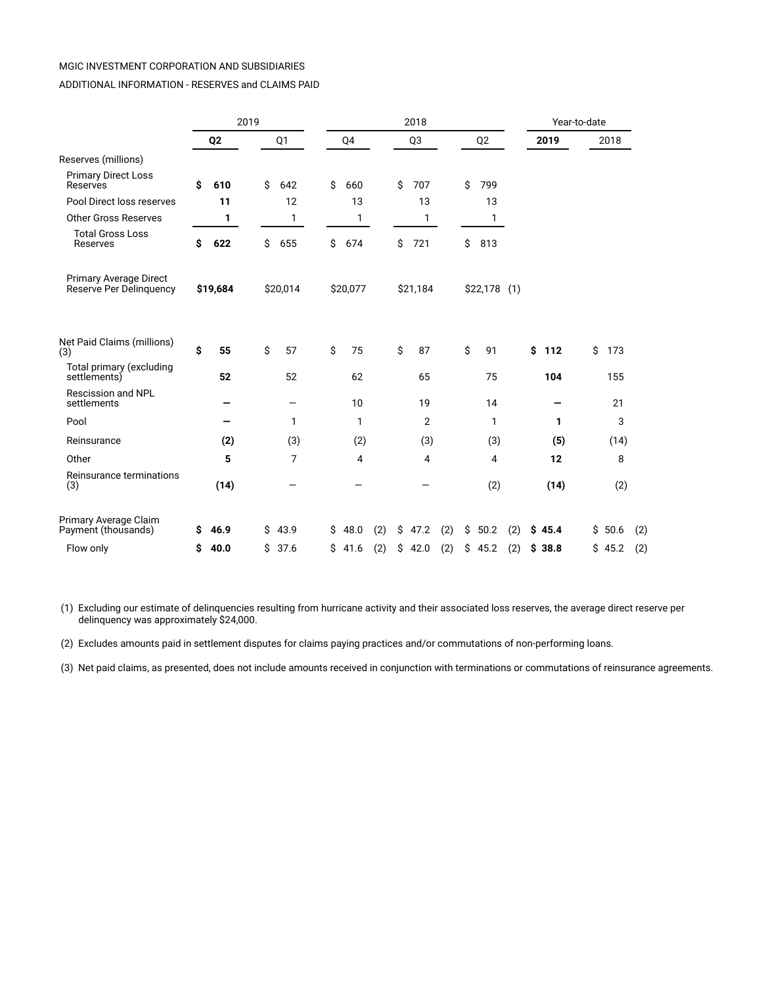#### ADDITIONAL INFORMATION - RESERVES and CLAIMS PAID

|                                                          |                |      | 2019 |          |    |          |     |    | 2018     |     |    |                |     | Year-to-date |           |     |
|----------------------------------------------------------|----------------|------|------|----------|----|----------|-----|----|----------|-----|----|----------------|-----|--------------|-----------|-----|
|                                                          | Q <sub>2</sub> |      |      | Q1       |    | Q4       |     |    | Q3       |     |    | Q <sub>2</sub> |     | 2019         | 2018      |     |
| Reserves (millions)                                      |                |      |      |          |    |          |     |    |          |     |    |                |     |              |           |     |
| <b>Primary Direct Loss</b><br>Reserves                   | Ś              | 610  | Ś    | 642      | \$ | 660      |     | Ś. | 707      |     | Ś. | 799            |     |              |           |     |
| Pool Direct loss reserves                                |                | 11   |      | 12       |    | 13       |     |    | 13       |     |    | 13             |     |              |           |     |
| <b>Other Gross Reserves</b>                              |                | 1    |      | 1        |    | 1        |     |    | 1        |     |    | 1              |     |              |           |     |
| <b>Total Gross Loss</b><br>Reserves                      | Ś              | 622  | \$   | 655      | Ś. | 674      |     | \$ | 721      |     | \$ | 813            |     |              |           |     |
| <b>Primary Average Direct</b><br>Reserve Per Delinquency | \$19,684       |      |      | \$20,014 |    | \$20,077 |     |    | \$21,184 |     |    | $$22,178$ (1)  |     |              |           |     |
| Net Paid Claims (millions)<br>(3)                        | \$             | 55   | \$   | 57       | \$ | 75       |     | \$ | 87       |     | \$ | 91             |     | \$<br>112    | \$<br>173 |     |
| Total primary (excluding<br>settlements)                 |                | 52   |      | 52       |    | 62       |     |    | 65       |     |    | 75             |     | 104          | 155       |     |
| Rescission and NPL<br>settlements                        |                |      |      |          |    | 10       |     |    | 19       |     |    | 14             |     |              | 21        |     |
| Pool                                                     |                |      |      | 1        |    | 1        |     |    | 2        |     |    | 1              |     | 1            | 3         |     |
| Reinsurance                                              |                | (2)  |      | (3)      |    | (2)      |     |    | (3)      |     |    | (3)            |     | (5)          | (14)      |     |
| Other                                                    |                | 5    |      | 7        |    | 4        |     |    | 4        |     |    | 4              |     | 12           | 8         |     |
| Reinsurance terminations<br>(3)                          |                | (14) |      |          |    |          |     |    |          |     |    | (2)            |     | (14)         | (2)       |     |
| Primary Average Claim<br>Payment (thousands)             | s              | 46.9 | \$   | 43.9     | \$ | 48.0     | (2) | \$ | 47.2     | (2) | \$ | 50.2           | (2) | \$45.4       | \$50.6    | (2) |
| Flow only                                                | Ŝ              | 40.0 | \$   | 37.6     | \$ | 41.6     | (2) | \$ | 42.0     | (2) | \$ | 45.2           | (2) | \$38.8       | \$45.2    | (2) |

 (1) Excluding our estimate of delinquencies resulting from hurricane activity and their associated loss reserves, the average direct reserve per delinquency was approximately \$24,000.

(2) Excludes amounts paid in settlement disputes for claims paying practices and/or commutations of non-performing loans.

(3) Net paid claims, as presented, does not include amounts received in conjunction with terminations or commutations of reinsurance agreements.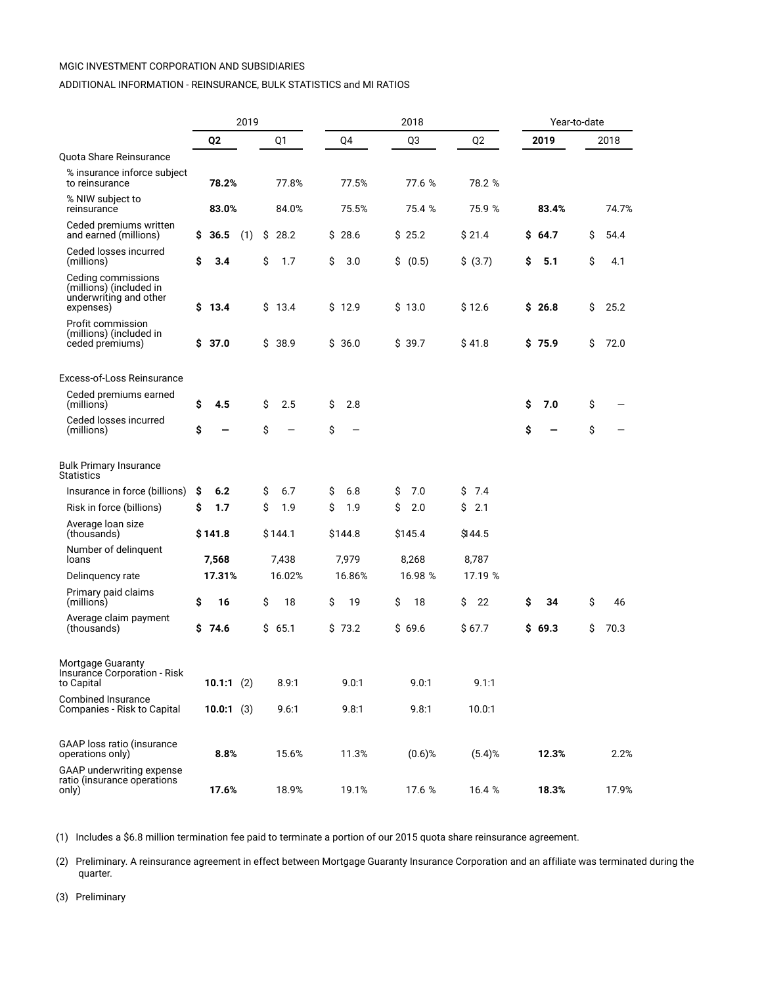#### ADDITIONAL INFORMATION - REINSURANCE, BULK STATISTICS and MI RATIOS

|                                                                                      |    |                | 2019 |    |         |    |         |    | 2018      |    |                |    | Year-to-date |    |       |  |
|--------------------------------------------------------------------------------------|----|----------------|------|----|---------|----|---------|----|-----------|----|----------------|----|--------------|----|-------|--|
|                                                                                      |    | Q <sub>2</sub> |      |    | Q1      |    | Q4      |    | Q3        |    | Q <sub>2</sub> |    | 2019         |    | 2018  |  |
| Quota Share Reinsurance                                                              |    |                |      |    |         |    |         |    |           |    |                |    |              |    |       |  |
| % insurance inforce subject<br>to reinsurance                                        |    | 78.2%          |      |    | 77.8%   |    | 77.5%   |    | 77.6 %    |    | 78.2 %         |    |              |    |       |  |
| % NIW subject to<br>reinsurance                                                      |    | 83.0%          |      |    | 84.0%   |    | 75.5%   |    | 75.4 %    |    | 75.9 %         |    | 83.4%        |    | 74.7% |  |
| Ceded premiums written<br>and earned (millions)                                      | \$ | 36.5           | (1)  | \$ | 28.2    |    | \$28.6  |    | \$25.2    |    | \$21.4         | \$ | 64.7         | \$ | 54.4  |  |
| Ceded losses incurred<br>(millions)                                                  | \$ | 3.4            |      | \$ | 1.7     | \$ | 3.0     | \$ | (0.5)     |    | \$ (3.7)       | \$ | 5.1          | \$ | 4.1   |  |
| Ceding commissions<br>(millions) (included in<br>underwriting and other<br>expenses) |    | \$13.4         |      |    | \$13.4  |    | \$12.9  |    | \$13.0    |    | \$12.6         |    | \$26.8       | \$ | 25.2  |  |
| Profit commission<br>(millions) (included in<br>ceded premiums)                      |    | \$ 37.0        |      | Ś. | 38.9    |    | \$36.0  |    | \$39.7    |    | \$41.8         |    | \$75.9       | Ś. | 72.0  |  |
| Excess-of-Loss Reinsurance                                                           |    |                |      |    |         |    |         |    |           |    |                |    |              |    |       |  |
| Ceded premiums earned<br>(millions)                                                  | \$ | 4.5            |      | \$ | 2.5     | \$ | 2.8     |    |           |    |                | \$ | 7.0          | \$ |       |  |
| Ceded losses incurred<br>(millions)                                                  | \$ |                |      | \$ |         | \$ |         |    |           |    |                | \$ |              | \$ |       |  |
| Bulk Primary Insurance<br><b>Statistics</b>                                          |    |                |      |    |         |    |         |    |           |    |                |    |              |    |       |  |
| Insurance in force (billions)                                                        | s  | 6.2            |      | \$ | 6.7     | \$ | 6.8     | S  | 7.0       | Ś  | 7.4            |    |              |    |       |  |
| Risk in force (billions)                                                             | \$ | 1.7            |      | \$ | 1.9     | Ś  | 1.9     | \$ | 2.0       | Ś  | 2.1            |    |              |    |       |  |
| Average loan size<br>(thousands)                                                     |    | \$141.8        |      |    | \$144.1 |    | \$144.8 |    | \$145.4   |    | \$144.5        |    |              |    |       |  |
| Number of delinquent<br>loans                                                        |    | 7,568          |      |    | 7,438   |    | 7,979   |    | 8,268     |    | 8,787          |    |              |    |       |  |
| Delinquency rate                                                                     |    | 17.31%         |      |    | 16.02%  |    | 16.86%  |    | 16.98 %   |    | 17.19 %        |    |              |    |       |  |
| Primary paid claims<br>(millions)                                                    | \$ | 16             |      | \$ | 18      | S  | 19      | \$ | 18        | \$ | 22             | S  | 34           | Ś  | 46    |  |
| Average claim payment<br>(thousands)                                                 |    | \$74.6         |      |    | \$65.1  |    | \$73.2  |    | \$69.6    |    | \$ 67.7        |    | \$69.3       | Ś. | 70.3  |  |
| Mortgage Guaranty<br>Insurance Corporation - Risk<br>to Capital                      |    | 10.1:1(2)      |      |    | 8.9:1   |    | 9.0:1   |    | 9.0:1     |    | 9.1:1          |    |              |    |       |  |
| <b>Combined Insurance</b><br>Companies - Risk to Capital                             |    | 10.0:1(3)      |      |    | 9.6:1   |    | 9.8:1   |    | 9.8:1     |    | 10.0:1         |    |              |    |       |  |
| GAAP loss ratio (insurance<br>operations only)                                       |    | 8.8%           |      |    | 15.6%   |    | 11.3%   |    | $(0.6)$ % |    | $(5.4)$ %      |    | 12.3%        |    | 2.2%  |  |
| GAAP underwriting expense<br>ratio (insurance operations<br>only)                    |    | 17.6%          |      |    | 18.9%   |    | 19.1%   |    | 17.6 %    |    | 16.4 %         |    | 18.3%        |    | 17.9% |  |

(1) Includes a \$6.8 million termination fee paid to terminate a portion of our 2015 quota share reinsurance agreement.

(2) Preliminary. A reinsurance agreement in effect between Mortgage Guaranty Insurance Corporation and an affiliate was terminated during the quarter.

(3) Preliminary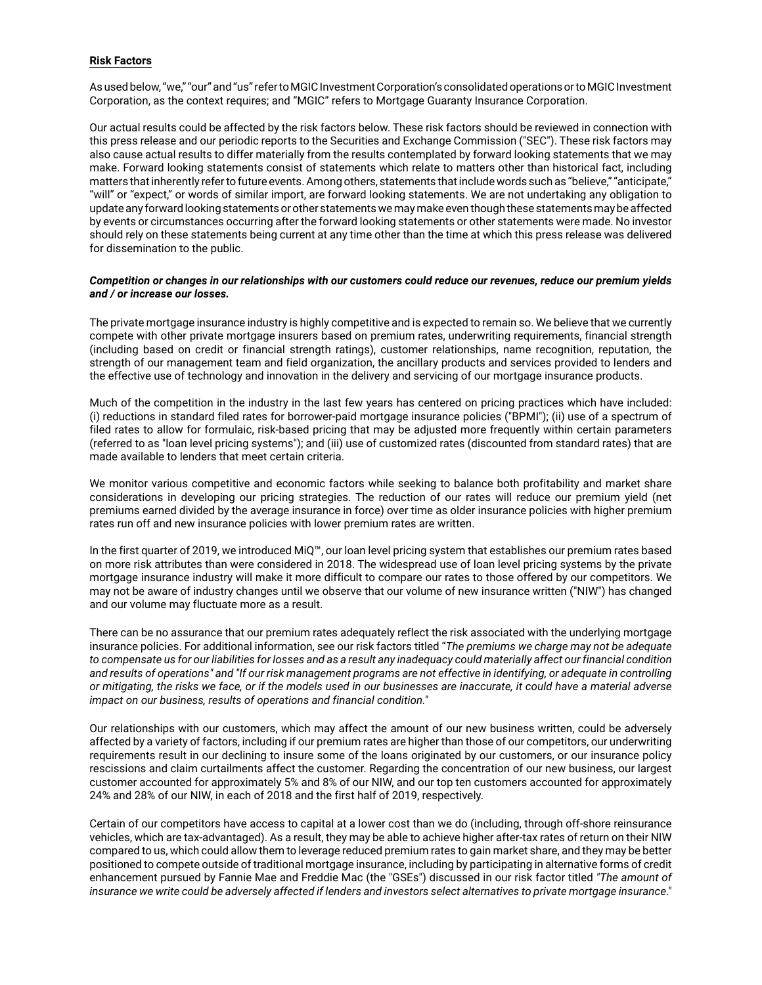#### **Risk Factors**

As used below, "we," "our" and "us" refer to MGIC Investment Corporation's consolidated operations or to MGIC Investment Corporation, as the context requires; and "MGIC" refers to Mortgage Guaranty Insurance Corporation.

Our actual results could be affected by the risk factors below. These risk factors should be reviewed in connection with this press release and our periodic reports to the Securities and Exchange Commission ("SEC"). These risk factors may also cause actual results to differ materially from the results contemplated by forward looking statements that we may make. Forward looking statements consist of statements which relate to matters other than historical fact, including matters that inherently refer to future events. Among others, statements that include words such as "believe," "anticipate," "will" or "expect," or words of similar import, are forward looking statements. We are not undertaking any obligation to update any forward looking statements or other statements we may make even though these statements may be affected by events or circumstances occurring after the forward looking statements or other statements were made. No investor should rely on these statements being current at any time other than the time at which this press release was delivered for dissemination to the public.

#### *Competition or changes in our relationships with our customers could reduce our revenues, reduce our premium yields and / or increase our losses.*

The private mortgage insurance industry is highly competitive and is expected to remain so. We believe that we currently compete with other private mortgage insurers based on premium rates, underwriting requirements, financial strength (including based on credit or financial strength ratings), customer relationships, name recognition, reputation, the strength of our management team and field organization, the ancillary products and services provided to lenders and the effective use of technology and innovation in the delivery and servicing of our mortgage insurance products.

Much of the competition in the industry in the last few years has centered on pricing practices which have included: (i) reductions in standard filed rates for borrower-paid mortgage insurance policies ("BPMI"); (ii) use of a spectrum of filed rates to allow for formulaic, risk-based pricing that may be adjusted more frequently within certain parameters (referred to as "loan level pricing systems"); and (iii) use of customized rates (discounted from standard rates) that are made available to lenders that meet certain criteria.

We monitor various competitive and economic factors while seeking to balance both profitability and market share considerations in developing our pricing strategies. The reduction of our rates will reduce our premium yield (net premiums earned divided by the average insurance in force) over time as older insurance policies with higher premium rates run off and new insurance policies with lower premium rates are written.

In the first quarter of 2019, we introduced MiQ™, our loan level pricing system that establishes our premium rates based on more risk attributes than were considered in 2018. The widespread use of loan level pricing systems by the private mortgage insurance industry will make it more difficult to compare our rates to those offered by our competitors. We may not be aware of industry changes until we observe that our volume of new insurance written ("NIW") has changed and our volume may fluctuate more as a result.

There can be no assurance that our premium rates adequately reflect the risk associated with the underlying mortgage insurance policies. For additional information, see our risk factors titled "*The premiums we charge may not be adequate to compensate us for our liabilities for losses and as a result any inadequacy could materially affect our financial condition and results of operations" and "If our risk management programs are not effective in identifying, or adequate in controlling or mitigating, the risks we face, or if the models used in our businesses are inaccurate, it could have a material adverse impact on our business, results of operations and financial condition."*

Our relationships with our customers, which may affect the amount of our new business written, could be adversely affected by a variety of factors, including if our premium rates are higher than those of our competitors, our underwriting requirements result in our declining to insure some of the loans originated by our customers, or our insurance policy rescissions and claim curtailments affect the customer. Regarding the concentration of our new business, our largest customer accounted for approximately 5% and 8% of our NIW, and our top ten customers accounted for approximately 24% and 28% of our NIW, in each of 2018 and the first half of 2019, respectively.

Certain of our competitors have access to capital at a lower cost than we do (including, through off-shore reinsurance vehicles, which are tax-advantaged). As a result, they may be able to achieve higher after-tax rates of return on their NIW compared to us, which could allow them to leverage reduced premium rates to gain market share, and they may be better positioned to compete outside of traditional mortgage insurance, including by participating in alternative forms of credit enhancement pursued by Fannie Mae and Freddie Mac (the "GSEs") discussed in our risk factor titled *"The amount of insurance we write could be adversely affected if lenders and investors select alternatives to private mortgage insurance*."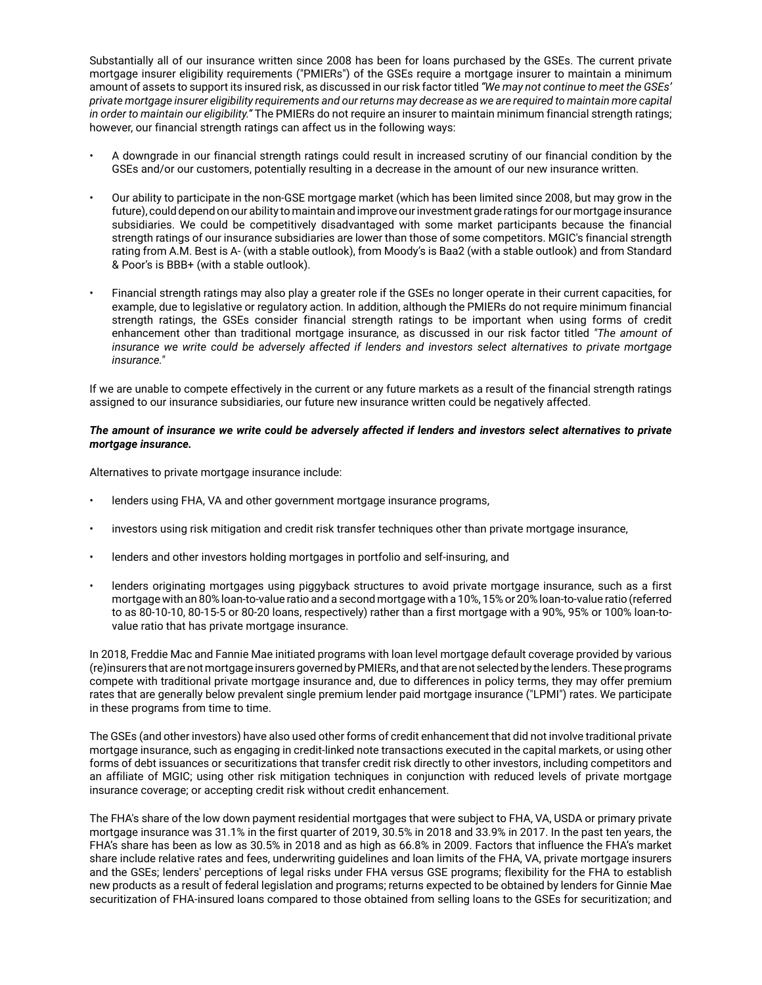Substantially all of our insurance written since 2008 has been for loans purchased by the GSEs. The current private mortgage insurer eligibility requirements ("PMIERs") of the GSEs require a mortgage insurer to maintain a minimum amount of assets to support its insured risk, as discussed in our risk factor titled *"We may not continue to meet the GSEs' private mortgage insurer eligibility requirements and our returns may decrease as we are required to maintain more capital in order to maintain our eligibility."* The PMIERs do not require an insurer to maintain minimum financial strength ratings; however, our financial strength ratings can affect us in the following ways:

- A downgrade in our financial strength ratings could result in increased scrutiny of our financial condition by the GSEs and/or our customers, potentially resulting in a decrease in the amount of our new insurance written.
- Our ability to participate in the non-GSE mortgage market (which has been limited since 2008, but may grow in the future), could depend on our ability to maintain and improve our investment grade ratings for our mortgage insurance subsidiaries. We could be competitively disadvantaged with some market participants because the financial strength ratings of our insurance subsidiaries are lower than those of some competitors. MGIC's financial strength rating from A.M. Best is A- (with a stable outlook), from Moody's is Baa2 (with a stable outlook) and from Standard & Poor's is BBB+ (with a stable outlook).
- Financial strength ratings may also play a greater role if the GSEs no longer operate in their current capacities, for example, due to legislative or regulatory action. In addition, although the PMIERs do not require minimum financial strength ratings, the GSEs consider financial strength ratings to be important when using forms of credit enhancement other than traditional mortgage insurance, as discussed in our risk factor titled *"The amount of insurance we write could be adversely affected if lenders and investors select alternatives to private mortgage insurance."*

If we are unable to compete effectively in the current or any future markets as a result of the financial strength ratings assigned to our insurance subsidiaries, our future new insurance written could be negatively affected.

#### *The amount of insurance we write could be adversely affected if lenders and investors select alternatives to private mortgage insurance.*

Alternatives to private mortgage insurance include:

- lenders using FHA, VA and other government mortgage insurance programs,
- investors using risk mitigation and credit risk transfer techniques other than private mortgage insurance,
- lenders and other investors holding mortgages in portfolio and self-insuring, and
- lenders originating mortgages using piggyback structures to avoid private mortgage insurance, such as a first mortgage with an 80% loan-to-value ratio and a second mortgage with a 10%, 15% or 20% loan-to-value ratio (referred to as 80-10-10, 80-15-5 or 80-20 loans, respectively) rather than a first mortgage with a 90%, 95% or 100% loan-tovalue ratio that has private mortgage insurance.

In 2018, Freddie Mac and Fannie Mae initiated programs with loan level mortgage default coverage provided by various (re)insurers that are not mortgage insurers governed by PMIERs, and that are not selected by the lenders. These programs compete with traditional private mortgage insurance and, due to differences in policy terms, they may offer premium rates that are generally below prevalent single premium lender paid mortgage insurance ("LPMI") rates. We participate in these programs from time to time.

The GSEs (and other investors) have also used other forms of credit enhancement that did not involve traditional private mortgage insurance, such as engaging in credit-linked note transactions executed in the capital markets, or using other forms of debt issuances or securitizations that transfer credit risk directly to other investors, including competitors and an affiliate of MGIC; using other risk mitigation techniques in conjunction with reduced levels of private mortgage insurance coverage; or accepting credit risk without credit enhancement.

The FHA's share of the low down payment residential mortgages that were subject to FHA, VA, USDA or primary private mortgage insurance was 31.1% in the first quarter of 2019, 30.5% in 2018 and 33.9% in 2017. In the past ten years, the FHA's share has been as low as 30.5% in 2018 and as high as 66.8% in 2009. Factors that influence the FHA's market share include relative rates and fees, underwriting guidelines and loan limits of the FHA, VA, private mortgage insurers and the GSEs; lenders' perceptions of legal risks under FHA versus GSE programs; flexibility for the FHA to establish new products as a result of federal legislation and programs; returns expected to be obtained by lenders for Ginnie Mae securitization of FHA-insured loans compared to those obtained from selling loans to the GSEs for securitization; and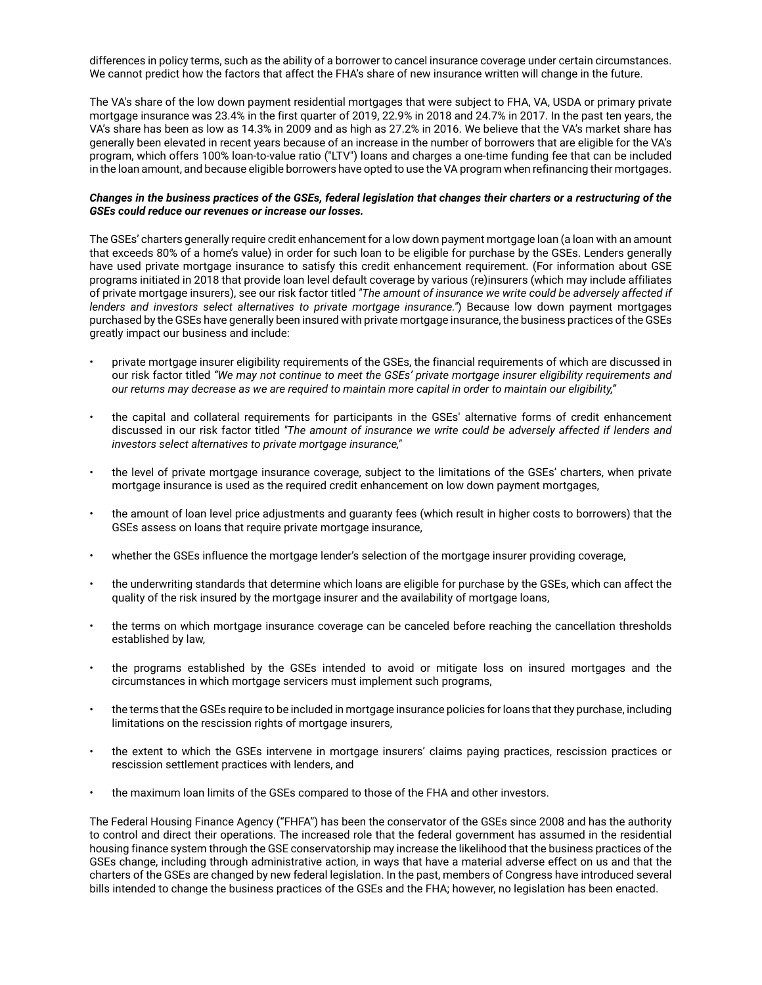differences in policy terms, such as the ability of a borrower to cancel insurance coverage under certain circumstances. We cannot predict how the factors that affect the FHA's share of new insurance written will change in the future.

The VA's share of the low down payment residential mortgages that were subject to FHA, VA, USDA or primary private mortgage insurance was 23.4% in the first quarter of 2019, 22.9% in 2018 and 24.7% in 2017. In the past ten years, the VA's share has been as low as 14.3% in 2009 and as high as 27.2% in 2016. We believe that the VA's market share has generally been elevated in recent years because of an increase in the number of borrowers that are eligible for the VA's program, which offers 100% loan-to-value ratio ("LTV") loans and charges a one-time funding fee that can be included in the loan amount, and because eligible borrowers have opted to use the VA program when refinancing their mortgages.

## *Changes in the business practices of the GSEs, federal legislation that changes their charters or a restructuring of the GSEs could reduce our revenues or increase our losses.*

The GSEs' charters generally require credit enhancement for a low down payment mortgage loan (a loan with an amount that exceeds 80% of a home's value) in order for such loan to be eligible for purchase by the GSEs. Lenders generally have used private mortgage insurance to satisfy this credit enhancement requirement. (For information about GSE programs initiated in 2018 that provide loan level default coverage by various (re)insurers (which may include affiliates of private mortgage insurers), see our risk factor titled *"The amount of insurance we write could be adversely affected if lenders and investors select alternatives to private mortgage insurance."*) Because low down payment mortgages purchased by the GSEs have generally been insured with private mortgage insurance, the business practices of the GSEs greatly impact our business and include:

- private mortgage insurer eligibility requirements of the GSEs, the financial requirements of which are discussed in our risk factor titled *"We may not continue to meet the GSEs' private mortgage insurer eligibility requirements and our returns may decrease as we are required to maintain more capital in order to maintain our eligibility,"*
- the capital and collateral requirements for participants in the GSEs' alternative forms of credit enhancement discussed in our risk factor titled *"The amount of insurance we write could be adversely affected if lenders and investors select alternatives to private mortgage insurance,"*
- the level of private mortgage insurance coverage, subject to the limitations of the GSEs' charters, when private mortgage insurance is used as the required credit enhancement on low down payment mortgages,
- the amount of loan level price adjustments and guaranty fees (which result in higher costs to borrowers) that the GSEs assess on loans that require private mortgage insurance,
- whether the GSEs influence the mortgage lender's selection of the mortgage insurer providing coverage,
- the underwriting standards that determine which loans are eligible for purchase by the GSEs, which can affect the quality of the risk insured by the mortgage insurer and the availability of mortgage loans,
- the terms on which mortgage insurance coverage can be canceled before reaching the cancellation thresholds established by law,
- the programs established by the GSEs intended to avoid or mitigate loss on insured mortgages and the circumstances in which mortgage servicers must implement such programs,
- the terms that the GSEs require to be included in mortgage insurance policies for loans that they purchase, including limitations on the rescission rights of mortgage insurers,
- the extent to which the GSEs intervene in mortgage insurers' claims paying practices, rescission practices or rescission settlement practices with lenders, and
- the maximum loan limits of the GSEs compared to those of the FHA and other investors.

The Federal Housing Finance Agency ("FHFA") has been the conservator of the GSEs since 2008 and has the authority to control and direct their operations. The increased role that the federal government has assumed in the residential housing finance system through the GSE conservatorship may increase the likelihood that the business practices of the GSEs change, including through administrative action, in ways that have a material adverse effect on us and that the charters of the GSEs are changed by new federal legislation. In the past, members of Congress have introduced several bills intended to change the business practices of the GSEs and the FHA; however, no legislation has been enacted.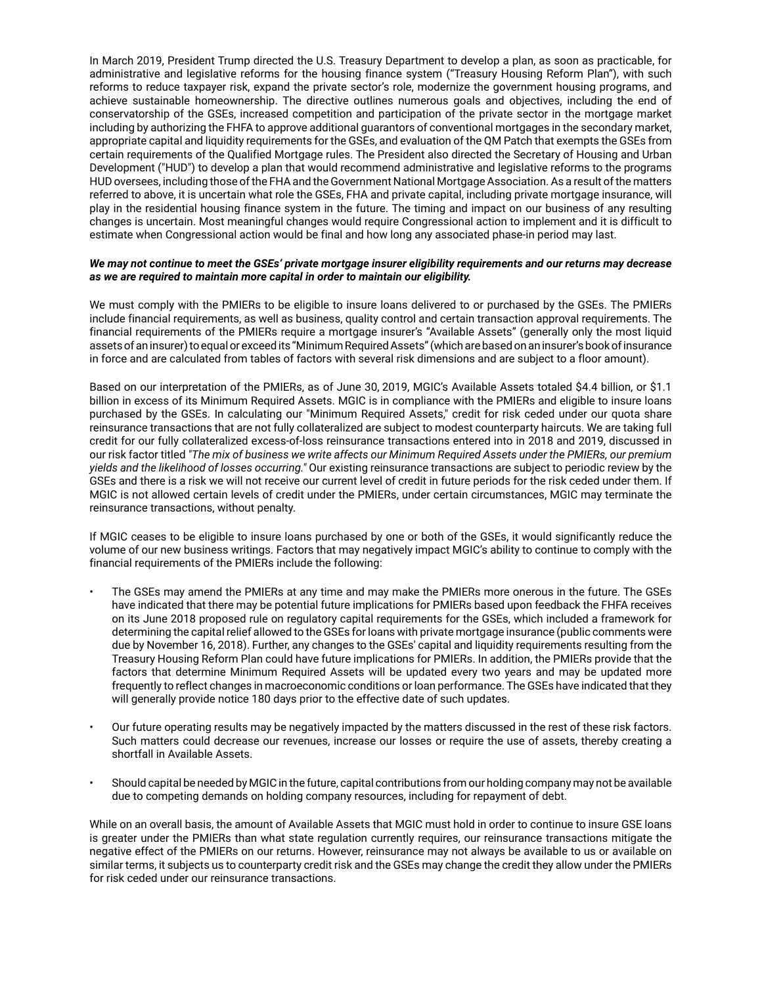In March 2019, President Trump directed the U.S. Treasury Department to develop a plan, as soon as practicable, for administrative and legislative reforms for the housing finance system ("Treasury Housing Reform Plan"), with such reforms to reduce taxpayer risk, expand the private sector's role, modernize the government housing programs, and achieve sustainable homeownership. The directive outlines numerous goals and objectives, including the end of conservatorship of the GSEs, increased competition and participation of the private sector in the mortgage market including by authorizing the FHFA to approve additional guarantors of conventional mortgages in the secondary market, appropriate capital and liquidity requirements for the GSEs, and evaluation of the QM Patch that exempts the GSEs from certain requirements of the Qualified Mortgage rules. The President also directed the Secretary of Housing and Urban Development ("HUD") to develop a plan that would recommend administrative and legislative reforms to the programs HUD oversees, including those of the FHA and the Government National Mortgage Association. As a result of the matters referred to above, it is uncertain what role the GSEs, FHA and private capital, including private mortgage insurance, will play in the residential housing finance system in the future. The timing and impact on our business of any resulting changes is uncertain. Most meaningful changes would require Congressional action to implement and it is difficult to estimate when Congressional action would be final and how long any associated phase-in period may last.

#### *We may not continue to meet the GSEs' private mortgage insurer eligibility requirements and our returns may decrease as we are required to maintain more capital in order to maintain our eligibility.*

We must comply with the PMIERs to be eligible to insure loans delivered to or purchased by the GSEs. The PMIERs include financial requirements, as well as business, quality control and certain transaction approval requirements. The financial requirements of the PMIERs require a mortgage insurer's "Available Assets" (generally only the most liquid assets of an insurer) to equal or exceed its "Minimum Required Assets" (which are based on an insurer's book of insurance in force and are calculated from tables of factors with several risk dimensions and are subject to a floor amount).

Based on our interpretation of the PMIERs, as of June 30, 2019, MGIC's Available Assets totaled \$4.4 billion, or \$1.1 billion in excess of its Minimum Required Assets. MGIC is in compliance with the PMIERs and eligible to insure loans purchased by the GSEs. In calculating our "Minimum Required Assets," credit for risk ceded under our quota share reinsurance transactions that are not fully collateralized are subject to modest counterparty haircuts. We are taking full credit for our fully collateralized excess-of-loss reinsurance transactions entered into in 2018 and 2019, discussed in our risk factor titled *"The mix of business we write affects our Minimum Required Assets under the PMIERs, our premium yields and the likelihood of losses occurring."* Our existing reinsurance transactions are subject to periodic review by the GSEs and there is a risk we will not receive our current level of credit in future periods for the risk ceded under them. If MGIC is not allowed certain levels of credit under the PMIERs, under certain circumstances, MGIC may terminate the reinsurance transactions, without penalty.

If MGIC ceases to be eligible to insure loans purchased by one or both of the GSEs, it would significantly reduce the volume of our new business writings. Factors that may negatively impact MGIC's ability to continue to comply with the financial requirements of the PMIERs include the following:

- The GSEs may amend the PMIERs at any time and may make the PMIERs more onerous in the future. The GSEs have indicated that there may be potential future implications for PMIERs based upon feedback the FHFA receives on its June 2018 proposed rule on regulatory capital requirements for the GSEs, which included a framework for determining the capital relief allowed to the GSEs for loans with private mortgage insurance (public comments were due by November 16, 2018). Further, any changes to the GSEs' capital and liquidity requirements resulting from the Treasury Housing Reform Plan could have future implications for PMIERs. In addition, the PMIERs provide that the factors that determine Minimum Required Assets will be updated every two years and may be updated more frequently to reflect changes in macroeconomic conditions or loan performance. The GSEs have indicated that they will generally provide notice 180 days prior to the effective date of such updates.
- Our future operating results may be negatively impacted by the matters discussed in the rest of these risk factors. Such matters could decrease our revenues, increase our losses or require the use of assets, thereby creating a shortfall in Available Assets.
- Should capital be needed by MGIC in the future, capital contributions from our holding company may not be available due to competing demands on holding company resources, including for repayment of debt.

While on an overall basis, the amount of Available Assets that MGIC must hold in order to continue to insure GSE loans is greater under the PMIERs than what state regulation currently requires, our reinsurance transactions mitigate the negative effect of the PMIERs on our returns. However, reinsurance may not always be available to us or available on similar terms, it subjects us to counterparty credit risk and the GSEs may change the credit they allow under the PMIERs for risk ceded under our reinsurance transactions.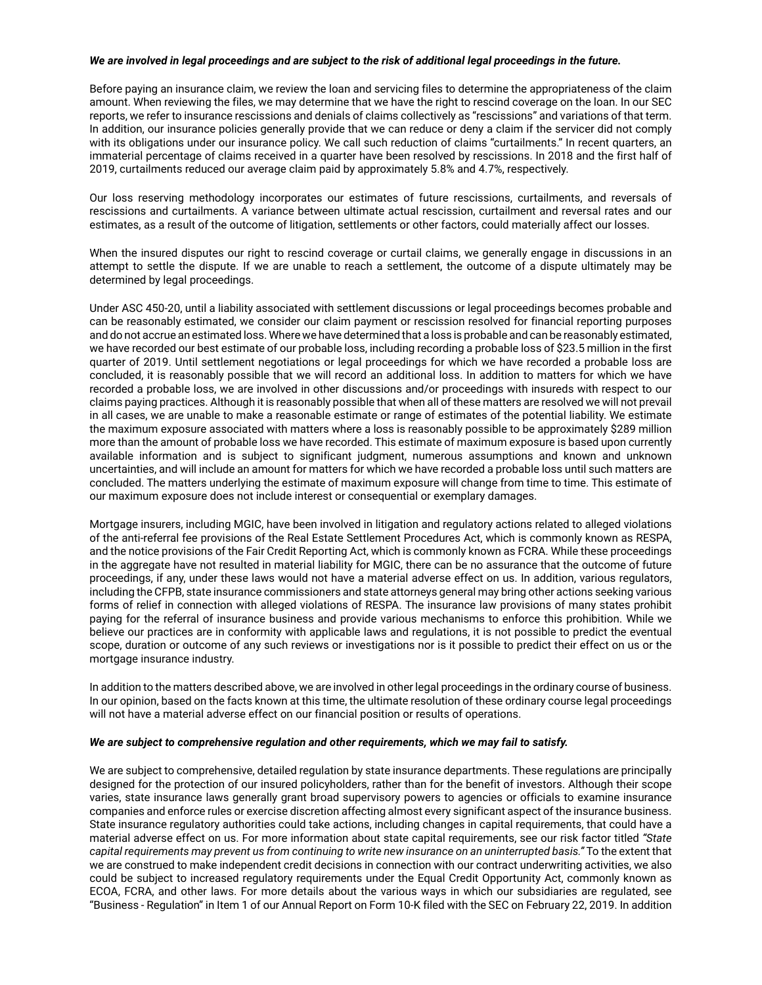#### *We are involved in legal proceedings and are subject to the risk of additional legal proceedings in the future.*

Before paying an insurance claim, we review the loan and servicing files to determine the appropriateness of the claim amount. When reviewing the files, we may determine that we have the right to rescind coverage on the loan. In our SEC reports, we refer to insurance rescissions and denials of claims collectively as "rescissions" and variations of that term. In addition, our insurance policies generally provide that we can reduce or deny a claim if the servicer did not comply with its obligations under our insurance policy. We call such reduction of claims "curtailments." In recent quarters, an immaterial percentage of claims received in a quarter have been resolved by rescissions. In 2018 and the first half of 2019, curtailments reduced our average claim paid by approximately 5.8% and 4.7%, respectively.

Our loss reserving methodology incorporates our estimates of future rescissions, curtailments, and reversals of rescissions and curtailments. A variance between ultimate actual rescission, curtailment and reversal rates and our estimates, as a result of the outcome of litigation, settlements or other factors, could materially affect our losses.

When the insured disputes our right to rescind coverage or curtail claims, we generally engage in discussions in an attempt to settle the dispute. If we are unable to reach a settlement, the outcome of a dispute ultimately may be determined by legal proceedings.

Under ASC 450-20, until a liability associated with settlement discussions or legal proceedings becomes probable and can be reasonably estimated, we consider our claim payment or rescission resolved for financial reporting purposes and do not accrue an estimated loss. Where we have determined that a loss is probable and can be reasonably estimated, we have recorded our best estimate of our probable loss, including recording a probable loss of \$23.5 million in the first quarter of 2019. Until settlement negotiations or legal proceedings for which we have recorded a probable loss are concluded, it is reasonably possible that we will record an additional loss. In addition to matters for which we have recorded a probable loss, we are involved in other discussions and/or proceedings with insureds with respect to our claims paying practices. Although it is reasonably possible that when all of these matters are resolved we will not prevail in all cases, we are unable to make a reasonable estimate or range of estimates of the potential liability. We estimate the maximum exposure associated with matters where a loss is reasonably possible to be approximately \$289 million more than the amount of probable loss we have recorded. This estimate of maximum exposure is based upon currently available information and is subject to significant judgment, numerous assumptions and known and unknown uncertainties, and will include an amount for matters for which we have recorded a probable loss until such matters are concluded. The matters underlying the estimate of maximum exposure will change from time to time. This estimate of our maximum exposure does not include interest or consequential or exemplary damages.

Mortgage insurers, including MGIC, have been involved in litigation and regulatory actions related to alleged violations of the anti-referral fee provisions of the Real Estate Settlement Procedures Act, which is commonly known as RESPA, and the notice provisions of the Fair Credit Reporting Act, which is commonly known as FCRA. While these proceedings in the aggregate have not resulted in material liability for MGIC, there can be no assurance that the outcome of future proceedings, if any, under these laws would not have a material adverse effect on us. In addition, various regulators, including the CFPB, state insurance commissioners and state attorneys general may bring other actions seeking various forms of relief in connection with alleged violations of RESPA. The insurance law provisions of many states prohibit paying for the referral of insurance business and provide various mechanisms to enforce this prohibition. While we believe our practices are in conformity with applicable laws and regulations, it is not possible to predict the eventual scope, duration or outcome of any such reviews or investigations nor is it possible to predict their effect on us or the mortgage insurance industry.

In addition to the matters described above, we are involved in other legal proceedings in the ordinary course of business. In our opinion, based on the facts known at this time, the ultimate resolution of these ordinary course legal proceedings will not have a material adverse effect on our financial position or results of operations.

#### *We are subject to comprehensive regulation and other requirements, which we may fail to satisfy.*

We are subject to comprehensive, detailed regulation by state insurance departments. These regulations are principally designed for the protection of our insured policyholders, rather than for the benefit of investors. Although their scope varies, state insurance laws generally grant broad supervisory powers to agencies or officials to examine insurance companies and enforce rules or exercise discretion affecting almost every significant aspect of the insurance business. State insurance regulatory authorities could take actions, including changes in capital requirements, that could have a material adverse effect on us. For more information about state capital requirements, see our risk factor titled *"State capital requirements may prevent us from continuing to write new insurance on an uninterrupted basis."* To the extent that we are construed to make independent credit decisions in connection with our contract underwriting activities, we also could be subject to increased regulatory requirements under the Equal Credit Opportunity Act, commonly known as ECOA, FCRA, and other laws. For more details about the various ways in which our subsidiaries are regulated, see "Business - Regulation" in Item 1 of our Annual Report on Form 10-K filed with the SEC on February 22, 2019. In addition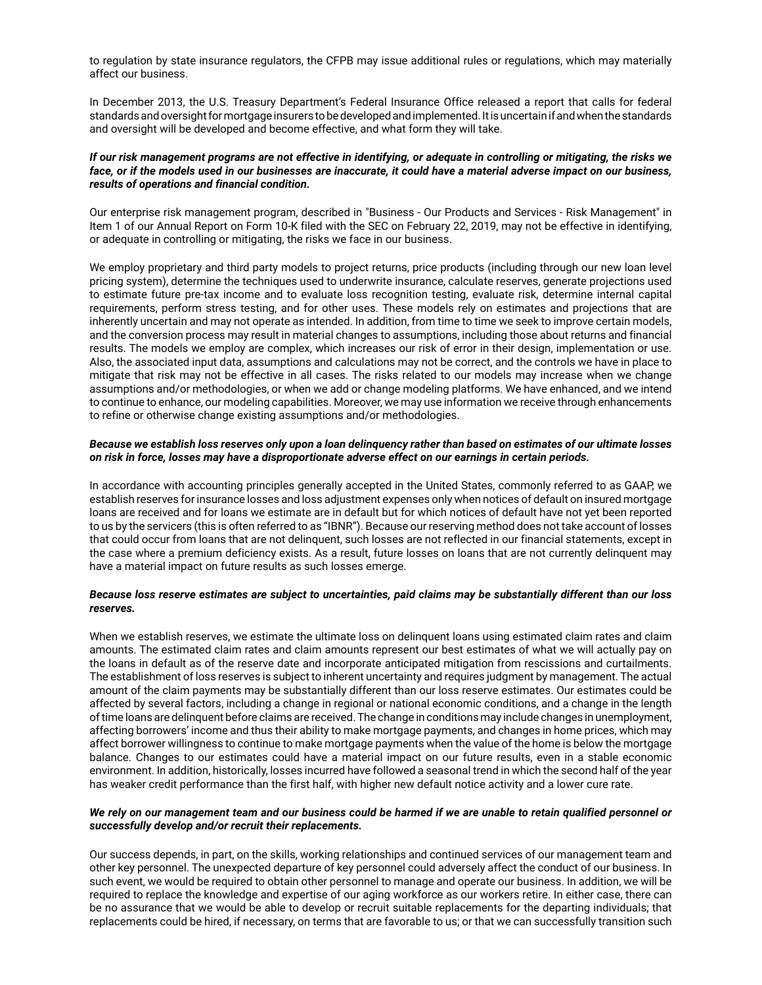to regulation by state insurance regulators, the CFPB may issue additional rules or regulations, which may materially affect our business.

In December 2013, the U.S. Treasury Department's Federal Insurance Office released a report that calls for federal standards and oversight for mortgage insurers to be developed and implemented. It is uncertain if and when the standards and oversight will be developed and become effective, and what form they will take.

### *If our risk management programs are not effective in identifying, or adequate in controlling or mitigating, the risks we face, or if the models used in our businesses are inaccurate, it could have a material adverse impact on our business, results of operations and financial condition.*

Our enterprise risk management program, described in "Business - Our Products and Services - Risk Management" in Item 1 of our Annual Report on Form 10-K filed with the SEC on February 22, 2019, may not be effective in identifying, or adequate in controlling or mitigating, the risks we face in our business.

We employ proprietary and third party models to project returns, price products (including through our new loan level pricing system), determine the techniques used to underwrite insurance, calculate reserves, generate projections used to estimate future pre-tax income and to evaluate loss recognition testing, evaluate risk, determine internal capital requirements, perform stress testing, and for other uses. These models rely on estimates and projections that are inherently uncertain and may not operate as intended. In addition, from time to time we seek to improve certain models, and the conversion process may result in material changes to assumptions, including those about returns and financial results. The models we employ are complex, which increases our risk of error in their design, implementation or use. Also, the associated input data, assumptions and calculations may not be correct, and the controls we have in place to mitigate that risk may not be effective in all cases. The risks related to our models may increase when we change assumptions and/or methodologies, or when we add or change modeling platforms. We have enhanced, and we intend to continue to enhance, our modeling capabilities. Moreover, we may use information we receive through enhancements to refine or otherwise change existing assumptions and/or methodologies.

#### *Because we establish loss reserves only upon a loan delinquency rather than based on estimates of our ultimate losses on risk in force, losses may have a disproportionate adverse effect on our earnings in certain periods.*

In accordance with accounting principles generally accepted in the United States, commonly referred to as GAAP, we establish reserves for insurance losses and loss adjustment expenses only when notices of default on insured mortgage loans are received and for loans we estimate are in default but for which notices of default have not yet been reported to us by the servicers (this is often referred to as "IBNR"). Because our reserving method does not take account of losses that could occur from loans that are not delinquent, such losses are not reflected in our financial statements, except in the case where a premium deficiency exists. As a result, future losses on loans that are not currently delinquent may have a material impact on future results as such losses emerge.

#### *Because loss reserve estimates are subject to uncertainties, paid claims may be substantially different than our loss reserves.*

When we establish reserves, we estimate the ultimate loss on delinquent loans using estimated claim rates and claim amounts. The estimated claim rates and claim amounts represent our best estimates of what we will actually pay on the loans in default as of the reserve date and incorporate anticipated mitigation from rescissions and curtailments. The establishment of loss reserves is subject to inherent uncertainty and requires judgment by management. The actual amount of the claim payments may be substantially different than our loss reserve estimates. Our estimates could be affected by several factors, including a change in regional or national economic conditions, and a change in the length of time loans are delinquent before claims are received. The change in conditions may include changes in unemployment, affecting borrowers' income and thus their ability to make mortgage payments, and changes in home prices, which may affect borrower willingness to continue to make mortgage payments when the value of the home is below the mortgage balance. Changes to our estimates could have a material impact on our future results, even in a stable economic environment. In addition, historically, losses incurred have followed a seasonal trend in which the second half of the year has weaker credit performance than the first half, with higher new default notice activity and a lower cure rate.

#### *We rely on our management team and our business could be harmed if we are unable to retain qualified personnel or successfully develop and/or recruit their replacements.*

Our success depends, in part, on the skills, working relationships and continued services of our management team and other key personnel. The unexpected departure of key personnel could adversely affect the conduct of our business. In such event, we would be required to obtain other personnel to manage and operate our business. In addition, we will be required to replace the knowledge and expertise of our aging workforce as our workers retire. In either case, there can be no assurance that we would be able to develop or recruit suitable replacements for the departing individuals; that replacements could be hired, if necessary, on terms that are favorable to us; or that we can successfully transition such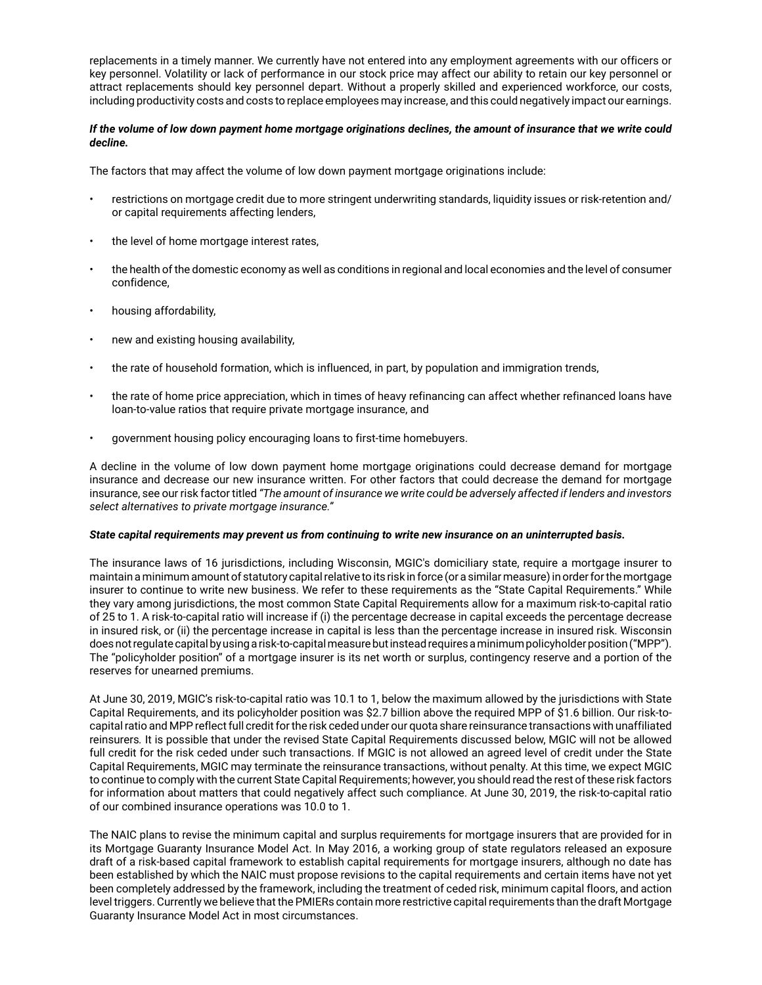replacements in a timely manner. We currently have not entered into any employment agreements with our officers or key personnel. Volatility or lack of performance in our stock price may affect our ability to retain our key personnel or attract replacements should key personnel depart. Without a properly skilled and experienced workforce, our costs, including productivity costs and costs to replace employees may increase, and this could negatively impact our earnings.

## *If the volume of low down payment home mortgage originations declines, the amount of insurance that we write could decline.*

The factors that may affect the volume of low down payment mortgage originations include:

- restrictions on mortgage credit due to more stringent underwriting standards, liquidity issues or risk-retention and/ or capital requirements affecting lenders,
- the level of home mortgage interest rates,
- the health of the domestic economy as well as conditions in regional and local economies and the level of consumer confidence,
- housing affordability,
- new and existing housing availability,
- the rate of household formation, which is influenced, in part, by population and immigration trends,
- the rate of home price appreciation, which in times of heavy refinancing can affect whether refinanced loans have loan-to-value ratios that require private mortgage insurance, and
- government housing policy encouraging loans to first-time homebuyers.

A decline in the volume of low down payment home mortgage originations could decrease demand for mortgage insurance and decrease our new insurance written. For other factors that could decrease the demand for mortgage insurance, see our risk factor titled *"The amount of insurance we write could be adversely affected if lenders and investors select alternatives to private mortgage insurance."*

#### *State capital requirements may prevent us from continuing to write new insurance on an uninterrupted basis.*

The insurance laws of 16 jurisdictions, including Wisconsin, MGIC's domiciliary state, require a mortgage insurer to maintain a minimum amount of statutory capital relative to its risk in force (or a similar measure) in order for the mortgage insurer to continue to write new business. We refer to these requirements as the "State Capital Requirements." While they vary among jurisdictions, the most common State Capital Requirements allow for a maximum risk-to-capital ratio of 25 to 1. A risk-to-capital ratio will increase if (i) the percentage decrease in capital exceeds the percentage decrease in insured risk, or (ii) the percentage increase in capital is less than the percentage increase in insured risk. Wisconsin does not regulate capital by using a risk-to-capital measure but instead requires a minimum policyholder position ("MPP"). The "policyholder position" of a mortgage insurer is its net worth or surplus, contingency reserve and a portion of the reserves for unearned premiums.

At June 30, 2019, MGIC's risk-to-capital ratio was 10.1 to 1, below the maximum allowed by the jurisdictions with State Capital Requirements, and its policyholder position was \$2.7 billion above the required MPP of \$1.6 billion. Our risk-tocapital ratio and MPP reflect full credit for the risk ceded under our quota share reinsurance transactions with unaffiliated reinsurers*.* It is possible that under the revised State Capital Requirements discussed below, MGIC will not be allowed full credit for the risk ceded under such transactions. If MGIC is not allowed an agreed level of credit under the State Capital Requirements, MGIC may terminate the reinsurance transactions, without penalty. At this time, we expect MGIC to continue to comply with the current State Capital Requirements; however, you should read the rest of these risk factors for information about matters that could negatively affect such compliance. At June 30, 2019, the risk-to-capital ratio of our combined insurance operations was 10.0 to 1.

The NAIC plans to revise the minimum capital and surplus requirements for mortgage insurers that are provided for in its Mortgage Guaranty Insurance Model Act. In May 2016, a working group of state regulators released an exposure draft of a risk-based capital framework to establish capital requirements for mortgage insurers, although no date has been established by which the NAIC must propose revisions to the capital requirements and certain items have not yet been completely addressed by the framework, including the treatment of ceded risk, minimum capital floors, and action level triggers. Currently we believe that the PMIERs contain more restrictive capital requirements than the draft Mortgage Guaranty Insurance Model Act in most circumstances.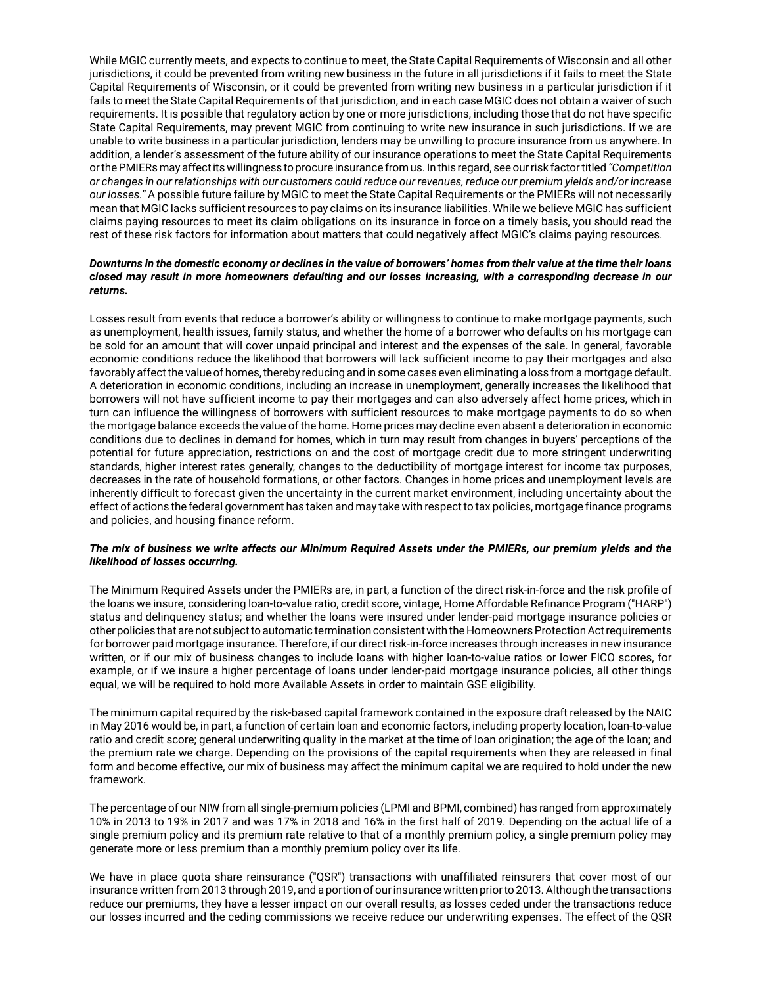While MGIC currently meets, and expects to continue to meet, the State Capital Requirements of Wisconsin and all other jurisdictions, it could be prevented from writing new business in the future in all jurisdictions if it fails to meet the State Capital Requirements of Wisconsin, or it could be prevented from writing new business in a particular jurisdiction if it fails to meet the State Capital Requirements of that jurisdiction, and in each case MGIC does not obtain a waiver of such requirements. It is possible that regulatory action by one or more jurisdictions, including those that do not have specific State Capital Requirements, may prevent MGIC from continuing to write new insurance in such jurisdictions. If we are unable to write business in a particular jurisdiction, lenders may be unwilling to procure insurance from us anywhere. In addition, a lender's assessment of the future ability of our insurance operations to meet the State Capital Requirements or the PMIERs may affect its willingness to procure insurance from us. In this regard, see our risk factor titled *"Competition or changes in our relationships with our customers could reduce our revenues, reduce our premium yields and/or increase our losses."* A possible future failure by MGIC to meet the State Capital Requirements or the PMIERs will not necessarily mean that MGIC lacks sufficient resources to pay claims on its insurance liabilities. While we believe MGIC has sufficient claims paying resources to meet its claim obligations on its insurance in force on a timely basis, you should read the rest of these risk factors for information about matters that could negatively affect MGIC's claims paying resources.

#### *Downturns in the domestic economy or declines in the value of borrowers' homes from their value at the time their loans closed may result in more homeowners defaulting and our losses increasing, with a corresponding decrease in our returns.*

Losses result from events that reduce a borrower's ability or willingness to continue to make mortgage payments, such as unemployment, health issues, family status, and whether the home of a borrower who defaults on his mortgage can be sold for an amount that will cover unpaid principal and interest and the expenses of the sale. In general, favorable economic conditions reduce the likelihood that borrowers will lack sufficient income to pay their mortgages and also favorably affect the value of homes, thereby reducing and in some cases even eliminating a loss from a mortgage default. A deterioration in economic conditions, including an increase in unemployment, generally increases the likelihood that borrowers will not have sufficient income to pay their mortgages and can also adversely affect home prices, which in turn can influence the willingness of borrowers with sufficient resources to make mortgage payments to do so when the mortgage balance exceeds the value of the home. Home prices may decline even absent a deterioration in economic conditions due to declines in demand for homes, which in turn may result from changes in buyers' perceptions of the potential for future appreciation, restrictions on and the cost of mortgage credit due to more stringent underwriting standards, higher interest rates generally, changes to the deductibility of mortgage interest for income tax purposes, decreases in the rate of household formations, or other factors. Changes in home prices and unemployment levels are inherently difficult to forecast given the uncertainty in the current market environment, including uncertainty about the effect of actions the federal government has taken and may take with respect to tax policies, mortgage finance programs and policies, and housing finance reform.

### *The mix of business we write affects our Minimum Required Assets under the PMIERs, our premium yields and the likelihood of losses occurring.*

The Minimum Required Assets under the PMIERs are, in part, a function of the direct risk-in-force and the risk profile of the loans we insure, considering loan-to-value ratio, credit score, vintage, Home Affordable Refinance Program ("HARP") status and delinquency status; and whether the loans were insured under lender-paid mortgage insurance policies or other policies that are not subject to automatic termination consistent with the Homeowners Protection Act requirements for borrower paid mortgage insurance. Therefore, if our direct risk-in-force increases through increases in new insurance written, or if our mix of business changes to include loans with higher loan-to-value ratios or lower FICO scores, for example, or if we insure a higher percentage of loans under lender-paid mortgage insurance policies, all other things equal, we will be required to hold more Available Assets in order to maintain GSE eligibility.

The minimum capital required by the risk-based capital framework contained in the exposure draft released by the NAIC in May 2016 would be, in part, a function of certain loan and economic factors, including property location, loan-to-value ratio and credit score; general underwriting quality in the market at the time of loan origination; the age of the loan; and the premium rate we charge. Depending on the provisions of the capital requirements when they are released in final form and become effective, our mix of business may affect the minimum capital we are required to hold under the new framework.

The percentage of our NIW from all single-premium policies (LPMI and BPMI, combined) has ranged from approximately 10% in 2013 to 19% in 2017 and was 17% in 2018 and 16% in the first half of 2019. Depending on the actual life of a single premium policy and its premium rate relative to that of a monthly premium policy, a single premium policy may generate more or less premium than a monthly premium policy over its life.

We have in place quota share reinsurance ("QSR") transactions with unaffiliated reinsurers that cover most of our insurance written from 2013 through 2019, and a portion of our insurance written prior to 2013. Although the transactions reduce our premiums, they have a lesser impact on our overall results, as losses ceded under the transactions reduce our losses incurred and the ceding commissions we receive reduce our underwriting expenses. The effect of the QSR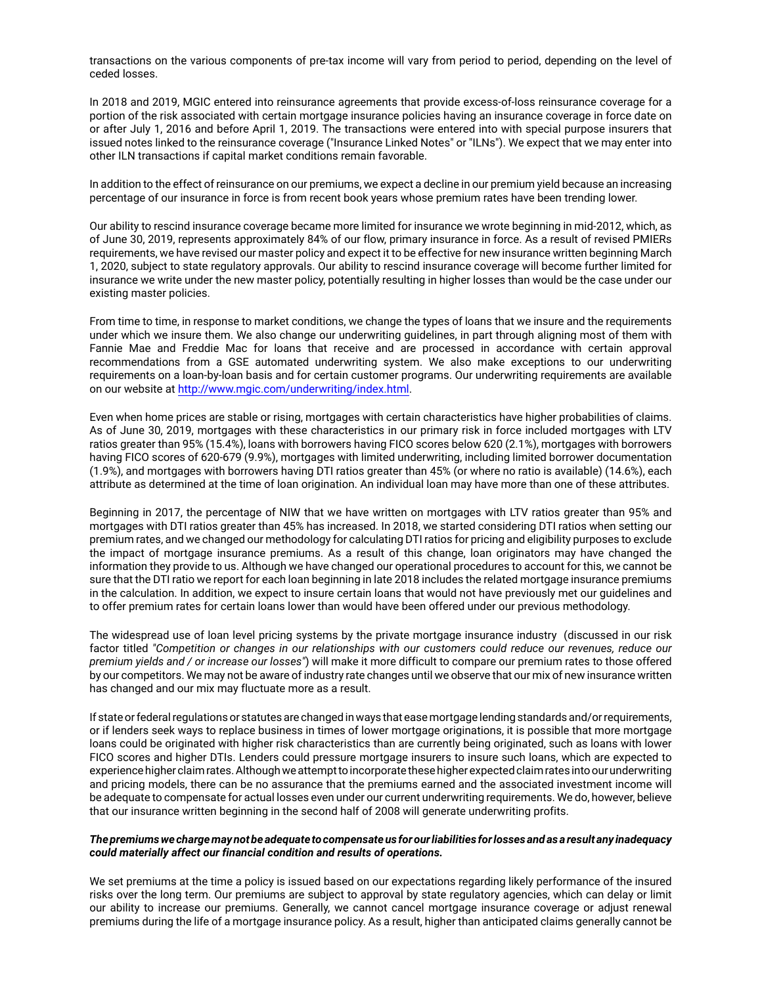transactions on the various components of pre-tax income will vary from period to period, depending on the level of ceded losses.

In 2018 and 2019, MGIC entered into reinsurance agreements that provide excess-of-loss reinsurance coverage for a portion of the risk associated with certain mortgage insurance policies having an insurance coverage in force date on or after July 1, 2016 and before April 1, 2019. The transactions were entered into with special purpose insurers that issued notes linked to the reinsurance coverage ("Insurance Linked Notes" or "ILNs"). We expect that we may enter into other ILN transactions if capital market conditions remain favorable.

In addition to the effect of reinsurance on our premiums, we expect a decline in our premium yield because an increasing percentage of our insurance in force is from recent book years whose premium rates have been trending lower.

Our ability to rescind insurance coverage became more limited for insurance we wrote beginning in mid-2012, which, as of June 30, 2019, represents approximately 84% of our flow, primary insurance in force. As a result of revised PMIERs requirements, we have revised our master policy and expect it to be effective for new insurance written beginning March 1, 2020, subject to state regulatory approvals. Our ability to rescind insurance coverage will become further limited for insurance we write under the new master policy, potentially resulting in higher losses than would be the case under our existing master policies.

From time to time, in response to market conditions, we change the types of loans that we insure and the requirements under which we insure them. We also change our underwriting guidelines, in part through aligning most of them with Fannie Mae and Freddie Mac for loans that receive and are processed in accordance with certain approval recommendations from a GSE automated underwriting system. We also make exceptions to our underwriting requirements on a loan-by-loan basis and for certain customer programs. Our underwriting requirements are available on our website at http://www.mgic.com/underwriting/index.html.

Even when home prices are stable or rising, mortgages with certain characteristics have higher probabilities of claims. As of June 30, 2019, mortgages with these characteristics in our primary risk in force included mortgages with LTV ratios greater than 95% (15.4%), loans with borrowers having FICO scores below 620 (2.1%), mortgages with borrowers having FICO scores of 620-679 (9.9%), mortgages with limited underwriting, including limited borrower documentation (1.9%), and mortgages with borrowers having DTI ratios greater than 45% (or where no ratio is available) (14.6%), each attribute as determined at the time of loan origination. An individual loan may have more than one of these attributes.

Beginning in 2017, the percentage of NIW that we have written on mortgages with LTV ratios greater than 95% and mortgages with DTI ratios greater than 45% has increased. In 2018, we started considering DTI ratios when setting our premium rates, and we changed our methodology for calculating DTI ratios for pricing and eligibility purposes to exclude the impact of mortgage insurance premiums. As a result of this change, loan originators may have changed the information they provide to us. Although we have changed our operational procedures to account for this, we cannot be sure that the DTI ratio we report for each loan beginning in late 2018 includes the related mortgage insurance premiums in the calculation. In addition, we expect to insure certain loans that would not have previously met our guidelines and to offer premium rates for certain loans lower than would have been offered under our previous methodology.

The widespread use of loan level pricing systems by the private mortgage insurance industry (discussed in our risk factor titled *"Competition or changes in our relationships with our customers could reduce our revenues, reduce our premium yields and / or increase our losses"*) will make it more difficult to compare our premium rates to those offered by our competitors. We may not be aware of industry rate changes until we observe that our mix of new insurance written has changed and our mix may fluctuate more as a result.

If state or federal regulations or statutes are changed in ways that ease mortgage lending standards and/or requirements, or if lenders seek ways to replace business in times of lower mortgage originations, it is possible that more mortgage loans could be originated with higher risk characteristics than are currently being originated, such as loans with lower FICO scores and higher DTIs. Lenders could pressure mortgage insurers to insure such loans, which are expected to experience higher claim rates. Although we attempt to incorporate these higher expected claim rates into our underwriting and pricing models, there can be no assurance that the premiums earned and the associated investment income will be adequate to compensate for actual losses even under our current underwriting requirements. We do, however, believe that our insurance written beginning in the second half of 2008 will generate underwriting profits.

#### *The premiums we charge may not be adequate to compensate us for our liabilities for losses and as a result any inadequacy could materially affect our financial condition and results of operations.*

We set premiums at the time a policy is issued based on our expectations regarding likely performance of the insured risks over the long term. Our premiums are subject to approval by state regulatory agencies, which can delay or limit our ability to increase our premiums. Generally, we cannot cancel mortgage insurance coverage or adjust renewal premiums during the life of a mortgage insurance policy. As a result, higher than anticipated claims generally cannot be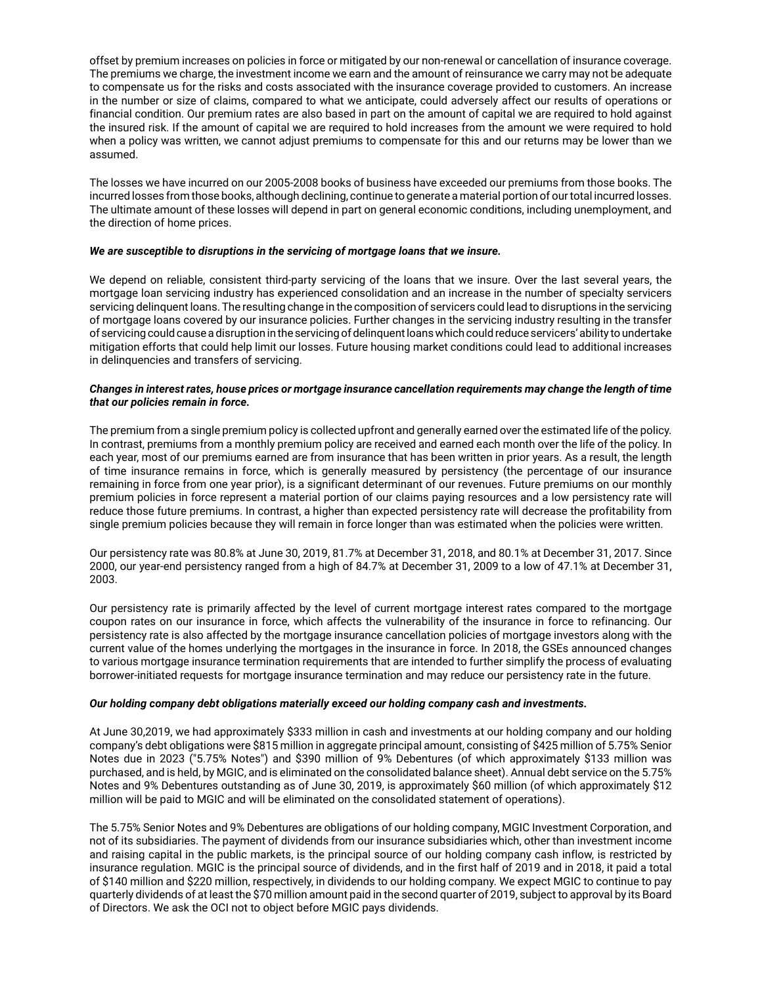offset by premium increases on policies in force or mitigated by our non-renewal or cancellation of insurance coverage. The premiums we charge, the investment income we earn and the amount of reinsurance we carry may not be adequate to compensate us for the risks and costs associated with the insurance coverage provided to customers. An increase in the number or size of claims, compared to what we anticipate, could adversely affect our results of operations or financial condition. Our premium rates are also based in part on the amount of capital we are required to hold against the insured risk. If the amount of capital we are required to hold increases from the amount we were required to hold when a policy was written, we cannot adjust premiums to compensate for this and our returns may be lower than we assumed.

The losses we have incurred on our 2005-2008 books of business have exceeded our premiums from those books. The incurred losses from those books, although declining, continue to generate a material portion of our total incurred losses. The ultimate amount of these losses will depend in part on general economic conditions, including unemployment, and the direction of home prices.

#### *We are susceptible to disruptions in the servicing of mortgage loans that we insure.*

We depend on reliable, consistent third-party servicing of the loans that we insure. Over the last several years, the mortgage loan servicing industry has experienced consolidation and an increase in the number of specialty servicers servicing delinquent loans. The resulting change in the composition of servicers could lead to disruptions in the servicing of mortgage loans covered by our insurance policies. Further changes in the servicing industry resulting in the transfer of servicing could cause a disruption in the servicing of delinquent loans which could reduce servicers' ability to undertake mitigation efforts that could help limit our losses. Future housing market conditions could lead to additional increases in delinquencies and transfers of servicing.

#### *Changes in interest rates, house prices or mortgage insurance cancellation requirements may change the length of time that our policies remain in force.*

The premium from a single premium policy is collected upfront and generally earned over the estimated life of the policy. In contrast, premiums from a monthly premium policy are received and earned each month over the life of the policy. In each year, most of our premiums earned are from insurance that has been written in prior years. As a result, the length of time insurance remains in force, which is generally measured by persistency (the percentage of our insurance remaining in force from one year prior), is a significant determinant of our revenues. Future premiums on our monthly premium policies in force represent a material portion of our claims paying resources and a low persistency rate will reduce those future premiums. In contrast, a higher than expected persistency rate will decrease the profitability from single premium policies because they will remain in force longer than was estimated when the policies were written.

Our persistency rate was 80.8% at June 30, 2019, 81.7% at December 31, 2018, and 80.1% at December 31, 2017. Since 2000, our year-end persistency ranged from a high of 84.7% at December 31, 2009 to a low of 47.1% at December 31, 2003.

Our persistency rate is primarily affected by the level of current mortgage interest rates compared to the mortgage coupon rates on our insurance in force, which affects the vulnerability of the insurance in force to refinancing. Our persistency rate is also affected by the mortgage insurance cancellation policies of mortgage investors along with the current value of the homes underlying the mortgages in the insurance in force. In 2018, the GSEs announced changes to various mortgage insurance termination requirements that are intended to further simplify the process of evaluating borrower-initiated requests for mortgage insurance termination and may reduce our persistency rate in the future.

### *Our holding company debt obligations materially exceed our holding company cash and investments.*

At June 30,2019, we had approximately \$333 million in cash and investments at our holding company and our holding company's debt obligations were \$815 million in aggregate principal amount, consisting of \$425 million of 5.75% Senior Notes due in 2023 ("5.75% Notes") and \$390 million of 9% Debentures (of which approximately \$133 million was purchased, and is held, by MGIC, and is eliminated on the consolidated balance sheet). Annual debt service on the 5.75% Notes and 9% Debentures outstanding as of June 30, 2019, is approximately \$60 million (of which approximately \$12 million will be paid to MGIC and will be eliminated on the consolidated statement of operations).

The 5.75% Senior Notes and 9% Debentures are obligations of our holding company, MGIC Investment Corporation, and not of its subsidiaries. The payment of dividends from our insurance subsidiaries which, other than investment income and raising capital in the public markets, is the principal source of our holding company cash inflow, is restricted by insurance regulation. MGIC is the principal source of dividends, and in the first half of 2019 and in 2018, it paid a total of \$140 million and \$220 million, respectively, in dividends to our holding company. We expect MGIC to continue to pay quarterly dividends of at least the \$70 million amount paid in the second quarter of 2019, subject to approval by its Board of Directors. We ask the OCI not to object before MGIC pays dividends.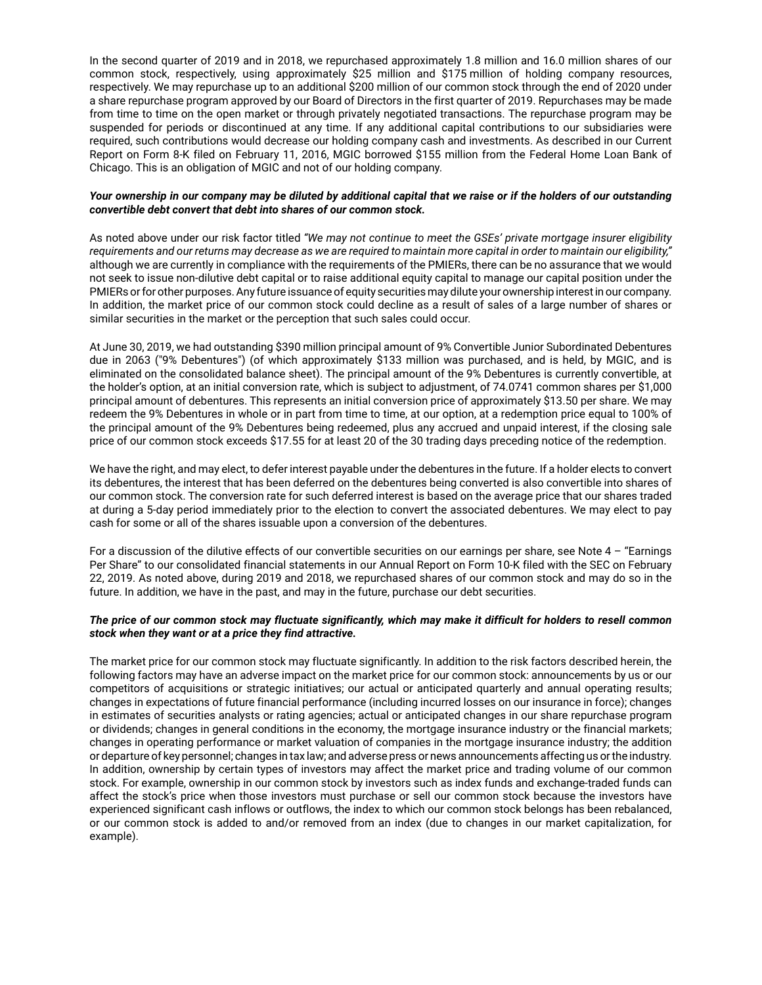In the second quarter of 2019 and in 2018, we repurchased approximately 1.8 million and 16.0 million shares of our common stock, respectively, using approximately \$25 million and \$175 million of holding company resources, respectively. We may repurchase up to an additional \$200 million of our common stock through the end of 2020 under a share repurchase program approved by our Board of Directors in the first quarter of 2019. Repurchases may be made from time to time on the open market or through privately negotiated transactions. The repurchase program may be suspended for periods or discontinued at any time. If any additional capital contributions to our subsidiaries were required, such contributions would decrease our holding company cash and investments. As described in our Current Report on Form 8-K filed on February 11, 2016, MGIC borrowed \$155 million from the Federal Home Loan Bank of Chicago. This is an obligation of MGIC and not of our holding company.

#### *Your ownership in our company may be diluted by additional capital that we raise or if the holders of our outstanding convertible debt convert that debt into shares of our common stock.*

As noted above under our risk factor titled *"We may not continue to meet the GSEs' private mortgage insurer eligibility requirements and our returns may decrease as we are required to maintain more capital in order to maintain our eligibility,"* although we are currently in compliance with the requirements of the PMIERs, there can be no assurance that we would not seek to issue non-dilutive debt capital or to raise additional equity capital to manage our capital position under the PMIERs or for other purposes. Any future issuance of equity securities may dilute your ownership interest in our company. In addition, the market price of our common stock could decline as a result of sales of a large number of shares or similar securities in the market or the perception that such sales could occur.

At June 30, 2019, we had outstanding \$390 million principal amount of 9% Convertible Junior Subordinated Debentures due in 2063 ("9% Debentures") (of which approximately \$133 million was purchased, and is held, by MGIC, and is eliminated on the consolidated balance sheet). The principal amount of the 9% Debentures is currently convertible, at the holder's option, at an initial conversion rate, which is subject to adjustment, of 74.0741 common shares per \$1,000 principal amount of debentures. This represents an initial conversion price of approximately \$13.50 per share. We may redeem the 9% Debentures in whole or in part from time to time, at our option, at a redemption price equal to 100% of the principal amount of the 9% Debentures being redeemed, plus any accrued and unpaid interest, if the closing sale price of our common stock exceeds \$17.55 for at least 20 of the 30 trading days preceding notice of the redemption.

We have the right, and may elect, to defer interest payable under the debentures in the future. If a holder elects to convert its debentures, the interest that has been deferred on the debentures being converted is also convertible into shares of our common stock. The conversion rate for such deferred interest is based on the average price that our shares traded at during a 5-day period immediately prior to the election to convert the associated debentures. We may elect to pay cash for some or all of the shares issuable upon a conversion of the debentures.

For a discussion of the dilutive effects of our convertible securities on our earnings per share, see Note 4 – "Earnings Per Share" to our consolidated financial statements in our Annual Report on Form 10-K filed with the SEC on February 22, 2019. As noted above, during 2019 and 2018, we repurchased shares of our common stock and may do so in the future. In addition, we have in the past, and may in the future, purchase our debt securities.

### *The price of our common stock may fluctuate significantly, which may make it difficult for holders to resell common stock when they want or at a price they find attractive.*

The market price for our common stock may fluctuate significantly. In addition to the risk factors described herein, the following factors may have an adverse impact on the market price for our common stock: announcements by us or our competitors of acquisitions or strategic initiatives; our actual or anticipated quarterly and annual operating results; changes in expectations of future financial performance (including incurred losses on our insurance in force); changes in estimates of securities analysts or rating agencies; actual or anticipated changes in our share repurchase program or dividends; changes in general conditions in the economy, the mortgage insurance industry or the financial markets; changes in operating performance or market valuation of companies in the mortgage insurance industry; the addition or departure of key personnel; changes in tax law; and adverse press or news announcements affecting us or the industry. In addition, ownership by certain types of investors may affect the market price and trading volume of our common stock. For example, ownership in our common stock by investors such as index funds and exchange-traded funds can affect the stock's price when those investors must purchase or sell our common stock because the investors have experienced significant cash inflows or outflows, the index to which our common stock belongs has been rebalanced, or our common stock is added to and/or removed from an index (due to changes in our market capitalization, for example).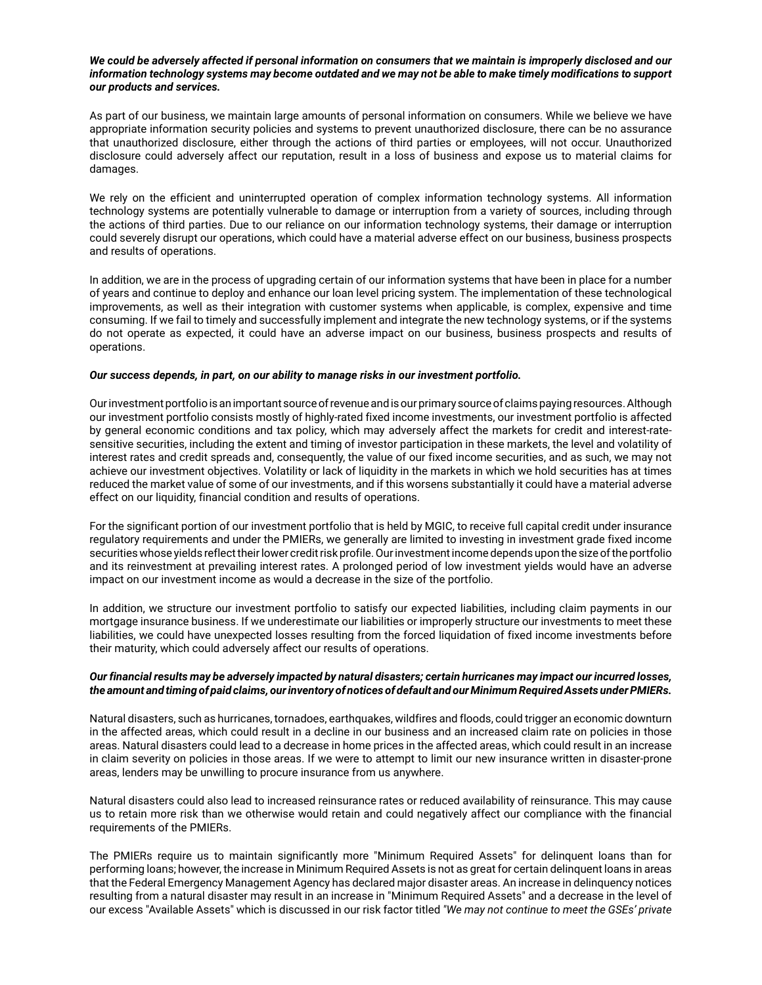#### *We could be adversely affected if personal information on consumers that we maintain is improperly disclosed and our information technology systems may become outdated and we may not be able to make timely modifications to support our products and services.*

As part of our business, we maintain large amounts of personal information on consumers. While we believe we have appropriate information security policies and systems to prevent unauthorized disclosure, there can be no assurance that unauthorized disclosure, either through the actions of third parties or employees, will not occur. Unauthorized disclosure could adversely affect our reputation, result in a loss of business and expose us to material claims for damages.

We rely on the efficient and uninterrupted operation of complex information technology systems. All information technology systems are potentially vulnerable to damage or interruption from a variety of sources, including through the actions of third parties. Due to our reliance on our information technology systems, their damage or interruption could severely disrupt our operations, which could have a material adverse effect on our business, business prospects and results of operations.

In addition, we are in the process of upgrading certain of our information systems that have been in place for a number of years and continue to deploy and enhance our loan level pricing system. The implementation of these technological improvements, as well as their integration with customer systems when applicable, is complex, expensive and time consuming. If we fail to timely and successfully implement and integrate the new technology systems, or if the systems do not operate as expected, it could have an adverse impact on our business, business prospects and results of operations.

## *Our success depends, in part, on our ability to manage risks in our investment portfolio.*

Our investment portfolio is an important source of revenue and is our primary source of claims paying resources. Although our investment portfolio consists mostly of highly-rated fixed income investments, our investment portfolio is affected by general economic conditions and tax policy, which may adversely affect the markets for credit and interest-ratesensitive securities, including the extent and timing of investor participation in these markets, the level and volatility of interest rates and credit spreads and, consequently, the value of our fixed income securities, and as such, we may not achieve our investment objectives. Volatility or lack of liquidity in the markets in which we hold securities has at times reduced the market value of some of our investments, and if this worsens substantially it could have a material adverse effect on our liquidity, financial condition and results of operations.

For the significant portion of our investment portfolio that is held by MGIC, to receive full capital credit under insurance regulatory requirements and under the PMIERs, we generally are limited to investing in investment grade fixed income securities whose yields reflect their lower credit risk profile. Our investment income depends upon the size of the portfolio and its reinvestment at prevailing interest rates. A prolonged period of low investment yields would have an adverse impact on our investment income as would a decrease in the size of the portfolio.

In addition, we structure our investment portfolio to satisfy our expected liabilities, including claim payments in our mortgage insurance business. If we underestimate our liabilities or improperly structure our investments to meet these liabilities, we could have unexpected losses resulting from the forced liquidation of fixed income investments before their maturity, which could adversely affect our results of operations.

### *Our financial results may be adversely impacted by natural disasters; certain hurricanes may impact our incurred losses, the amount and timing of paid claims, our inventory of notices of default and our Minimum Required Assets under PMIERs.*

Natural disasters, such as hurricanes, tornadoes, earthquakes, wildfires and floods, could trigger an economic downturn in the affected areas, which could result in a decline in our business and an increased claim rate on policies in those areas. Natural disasters could lead to a decrease in home prices in the affected areas, which could result in an increase in claim severity on policies in those areas. If we were to attempt to limit our new insurance written in disaster-prone areas, lenders may be unwilling to procure insurance from us anywhere.

Natural disasters could also lead to increased reinsurance rates or reduced availability of reinsurance. This may cause us to retain more risk than we otherwise would retain and could negatively affect our compliance with the financial requirements of the PMIERs.

The PMIERs require us to maintain significantly more "Minimum Required Assets" for delinquent loans than for performing loans; however, the increase in Minimum Required Assets is not as great for certain delinquent loans in areas that the Federal Emergency Management Agency has declared major disaster areas. An increase in delinquency notices resulting from a natural disaster may result in an increase in "Minimum Required Assets" and a decrease in the level of our excess "Available Assets" which is discussed in our risk factor titled *"We may not continue to meet the GSEs' private*